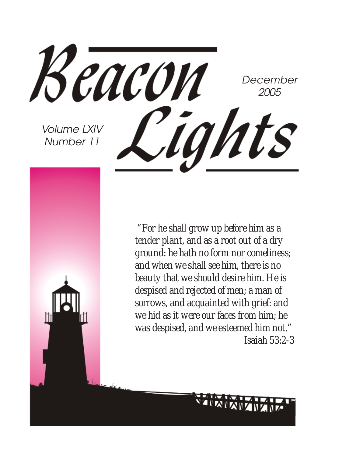

 *"For he shall grow up before him as a tender plant, and as a root out of a dry ground: he hath no form nor comeliness; and when we shall see him, there is no beauty that we should desire him. He is despised and rejected of men; a man of sorrows, and acquainted with grief: and we hid as it were our faces from him; he was despised, and we esteemed him not." Isaiah 53:2-3*

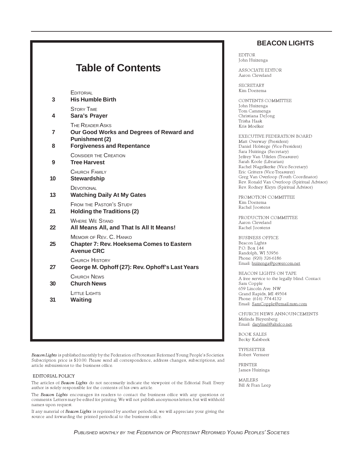#### **Table of Contents EDITORIAL 3 His Humble Birth** STORY TIME **4 Sara's Prayer THE READER ASKS 7 Our Good Works and Degrees of Reward and Punishment (2) 8 Forgiveness and Repentance** CONSIDER THE CREATION **9 Tree Harvest** CHURCH FAMILY **10 Stewardship DEVOTIONAL 13 Watching Daily At My Gates** FROM THE PASTOR'S STUDY **21 Holding the Traditions (2)** WHERE WE STAND **22 All Means All, and That Is All It Means!** MEMOIR OF REV. C. HANKO **25 Chapter 7: Rev. Hoeksema Comes to Eastern Avenue CRC** CHURCH HISTORY **27 George M. Ophoff (27): Rev. Ophoff's Last Years** CHURCH NEWS **30 Church News** LITTLE LIGHTS **31 Waiting**

Beacon Lights is published monthly by the Federation of Protestant Reformed Young People's Societies. Subscription price is \$10.00. Please send all correspondence, address changes, subscriptions, and article submissions to the business office.

#### EDITORIAL POLICY

The articles of Beacon Lights do not necessarily indicate the viewpoint of the Editorial Staff. Every author is solely responsible for the contents of his own article.

The Beacon Lights encourages its readers to contact the business office with any questions or comments. Letters may be edited for printing. We will not publish anonymous letters, but will withhold names upon request.

If any material of Beacon Lights is reprinted by another periodical, we will appreciate your giving the source and forwarding the printed periodical to the business office.

#### **BEACON LIGHTS**

EDITOR John Huizenga

ASSOCIATE EDITOR Aaron Cleveland

SECRETARY Kim Doezema

CONTENTS COMMITTEE John Huizenga Tom Cammenga Christiana DeJong Trisha Haak Kris Moelker

EXECUTIVE FEDERATION BOARD Matt Overway (President) Daniel Holstege (Vice-President) Sara Huizinga (Secretary) Jeffrey Van Uffelen (Treasurer) Sarah Koole (Librarian) Rachel Nagelkerke (Vice-Secretary) Eric Gritters (Vice-Treasurer) Greg Van Overloop (Youth Coordinator) Rev. Ronald Van Overloop (Spiritual Advisor) Rev. Rodney Kleyn (Spiritual Advisor)

PROMOTION COMMITTEE Kim Doezema Rachel Joostens

PRODUCTION COMMITTEE Aaron Cleveland Rachel Joostens

BUSINESS OFFICE Beacon Lights P.O. Box 144 Randolph, WI 53956 Phone: (920) 326-6186 Email: huizenga@powercom.net

BEACON LIGHTS ON TAPE A free service to the legally blind. Contact Sam Copple 659 Lincoln Ave. NW Grand Rapids, MI 49504 Phone: (616) 774-4132 Email: SamCopple@email.msn.com

CHURCH NEWS ANNOUNCEMENTS Melinda Bleyenberg Email: darylmel@altelco.net.

BOOK SALES Becky Kalsbeek

TYPESETTER Robert Vermeer

PRINTER James Huizinga

MAILERS Bill & Fran Leep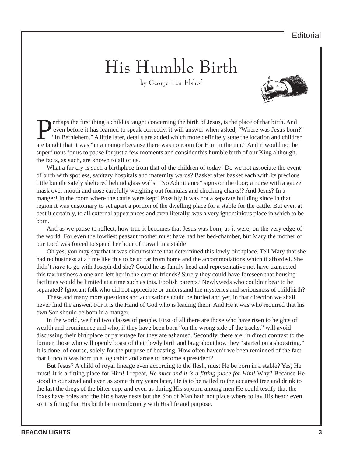#### **Editorial**

## His Humble Birth

by George Ten Elshof



**Perhaps the first thing a child is taught concerning the birth of Jesus, is the place of that birth. And<br>even before it has learned to speak correctly, it will answer when asked, "Where was Jesus borr<br>"In Bethlehem." A li** even before it has learned to speak correctly, it will answer when asked, "Where was Jesus born?" "In Bethlehem." A little later, details are added which more definitely state the location and children are taught that it was "in a manger because there was no room for Him in the inn." And it would not be superfluous for us to pause for just a few moments and consider this humble birth of our King although, the facts, as such, are known to all of us.

What a far cry is such a birthplace from that of the children of today! Do we not associate the event of birth with spotless, sanitary hospitals and maternity wards? Basket after basket each with its precious little bundle safely sheltered behind glass walls; "No Admittance" signs on the door; a nurse with a gauze mask over mouth and nose carefully weighing out formulas and checking charts!? And Jesus? In a manger! In the room where the cattle were kept! Possibly it was not a separate building since in that region it was customary to set apart a portion of the dwelling place for a stable for the cattle. But even at best it certainly, to all external appearances and even literally, was a very ignominious place in which to be born.

And as we pause to reflect, how true it becomes that Jesus was born, as it were, on the very edge of the world. For even the lowliest peasant mother must have had her bed-chamber, but Mary the mother of our Lord was forced to spend her hour of travail in a stable!

Oh yes, you may say that it was circumstance that determined this lowly birthplace. Tell Mary that she had no business at a time like this to be so far from home and the accommodations which it afforded. She didn't *have* to go with Joseph did she? Could he as family head and representative not have transacted this tax business alone and left her in the care of friends? Surely they could have foreseen that housing facilities would be limited at a time such as this. Foolish parents? Newlyweds who couldn't bear to be separated? Ignorant folk who did not appreciate or understand the mysteries and seriousness of childbirth?

These and many more questions and accusations could be hurled and yet, in that direction we shall never find the answer. For it is the Hand of God who is leading them. And He it was who required that his own Son should be born in a manger.

In the world, we find two classes of people. First of all there are those who have risen to heights of wealth and prominence and who, if they have been born "on the wrong side of the tracks," will avoid discussing their birthplace or parentage for they are ashamed. Secondly, there are, in direct contrast to the former, those who will openly boast of their lowly birth and brag about how they "started on a shoestring." It is done, of course, solely for the purpose of boasting. How often haven't we been reminded of the fact that Lincoln was born in a log cabin and arose to become a president?

But Jesus? A child of royal lineage even according to the flesh, must He be born in a stable? Yes, He must! It is a fitting place for Him! I repeat, *He must and it is a fitting place for Him!* Why? Because He stood in our stead and even as some thirty years later, He is to be nailed to the accursed tree and drink to the last the dregs of the bitter cup; and even as during His sojourn among men He could testify that the foxes have holes and the birds have nests but the Son of Man hath not place where to lay His head; even so it is fitting that His birth be in conformity with His life and purpose.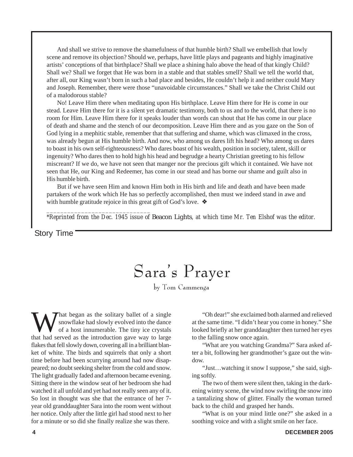And shall we strive to remove the shamefulness of that humble birth? Shall we embellish that lowly scene and remove its objection? Should we, perhaps, have little plays and pageants and highly imaginative artists' conceptions of that birthplace? Shall we place a shining halo above the head of that kingly Child? Shall we? Shall we forget that He was born in a stable and that stables smell? Shall we tell the world that, after all, our King wasn't born in such a bad place and besides, He couldn't help it and neither could Mary and Joseph. Remember, there were those "unavoidable circumstances." Shall we take the Christ Child out of a malodorous stable?

No! Leave Him there when meditating upon His birthplace. Leave Him there for He is come in our stead. Leave Him there for it is a silent yet dramatic testimony, both to us and to the world, that there is no room for Him. Leave Him there for it speaks louder than words can shout that He has come in our place of death and shame and the stench of our decomposition. Leave Him there and as you gaze on the Son of God lying in a mephitic stable, remember that that suffering and shame, which was climaxed in the cross, was already begun at His humble birth. And now, who among us dares lift his head? Who among us dares to boast in his own self-righteousness? Who dares boast of his wealth, position in society, talent, skill or ingenuity? Who dares then to hold high his head and begrudge a hearty Christian greeting to his fellow miscreant? If we do, we have not seen that manger nor the precious gift which it contained. We have not seen that He, our King and Redeemer, has come in our stead and has borne our shame and guilt also in His humble birth.

But if we have seen Him and known Him both in His birth and life and death and have been made partakers of the work which He has so perfectly accomplished, then must we indeed stand in awe and with humble gratitude rejoice in this great gift of God's love. ❖

*\*Reprinted from the Dec. 1945 issue of* Beacon Lights*, at which time Mr. Ten Elshof was the editor.*

#### Story Time

## Sara's Prayer

by Tom Cammenga

What began as the solitary ballet of a single<br>snowflake had slowly evolved into the dance<br>of a host innumerable. The tiny ice crystals<br>that had served as the introduction gave way to large snowflake had slowly evolved into the dance of a host innumerable. The tiny ice crystals that had served as the introduction gave way to large flakes that fell slowly down, covering all in a brilliant blanket of white. The birds and squirrels that only a short time before had been scurrying around had now disappeared; no doubt seeking shelter from the cold and snow. The light gradually faded and afternoon became evening. Sitting there in the window seat of her bedroom she had watched it all unfold and yet had not really seen any of it. So lost in thought was she that the entrance of her 7 year old granddaughter Sara into the room went without her notice. Only after the little girl had stood next to her for a minute or so did she finally realize she was there.

*\_\_\_\_\_\_\_\_\_\_\_\_\_\_\_\_\_\_\_\_\_\_\_\_\_\_\_\_\_\_*

"Oh dear!" she exclaimed both alarmed and relieved at the same time. "I didn't hear you come in honey." She looked briefly at her granddaughter then turned her eyes to the falling snow once again.

"What are you watching Grandma?" Sara asked after a bit, following her grandmother's gaze out the window.

"Just…watching it snow I suppose," she said, sighing softly.

The two of them were silent then, taking in the darkening wintry scene, the wind now swirling the snow into a tantalizing show of glitter. Finally the woman turned back to the child and grasped her hands.

"What is on your mind little one?" she asked in a soothing voice and with a slight smile on her face.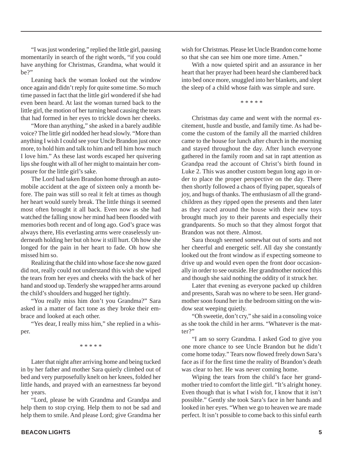"I was just wondering," replied the little girl, pausing momentarily in search of the right words, "if you could have anything for Christmas, Grandma, what would it be?"

Leaning back the woman looked out the window once again and didn't reply for quite some time. So much time passed in fact that the little girl wondered if she had even been heard. At last the woman turned back to the little girl, the motion of her turning head causing the tears that had formed in her eyes to trickle down her cheeks.

"More than anything," she asked in a barely audible voice? The little girl nodded her head slowly. "More than anything I wish I could see your Uncle Brandon just once more, to hold him and talk to him and tell him how much I love him." As these last words escaped her quivering lips she fought with all of her might to maintain her composure for the little girl's sake.

The Lord had taken Brandon home through an automobile accident at the age of sixteen only a month before. The pain was still so real it felt at times as though her heart would surely break. The little things it seemed most often brought it all back. Even now as she had watched the falling snow her mind had been flooded with memories both recent and of long ago. God's grace was always there, His everlasting arms were ceaselessly underneath holding her but oh how it still hurt. Oh how she longed for the pain in her heart to fade. Oh how she missed him so.

Realizing that the child into whose face she now gazed did not, really could not understand this wish she wiped the tears from her eyes and cheeks with the back of her hand and stood up. Tenderly she wrapped her arms around the child's shoulders and hugged her tightly.

"You really miss him don't you Grandma?" Sara asked in a matter of fact tone as they broke their embrace and looked at each other.

"Yes dear, I really miss him," she replied in a whisper.

\* \* \* \* \*

Later that night after arriving home and being tucked in by her father and mother Sara quietly climbed out of bed and very purposefully knelt on her knees, folded her little hands, and prayed with an earnestness far beyond her years.

"Lord, please be with Grandma and Grandpa and help them to stop crying. Help them to not be sad and help them to smile. And please Lord; give Grandma her wish for Christmas. Please let Uncle Brandon come home so that she can see him one more time. Amen."

With a now quieted spirit and an assurance in her heart that her prayer had been heard she clambered back into bed once more, snuggled into her blankets, and slept the sleep of a child whose faith was simple and sure.

\* \* \* \* \*

Christmas day came and went with the normal excitement, hustle and bustle, and family time. As had become the custom of the family all the married children came to the house for lunch after church in the morning and stayed throughout the day. After lunch everyone gathered in the family room and sat in rapt attention as Grandpa read the account of Christ's birth found in Luke 2. This was another custom begun long ago in order to place the proper perspective on the day. There then shortly followed a chaos of flying paper, squeals of joy, and hugs of thanks. The enthusiasm of all the grandchildren as they ripped open the presents and then later as they raced around the house with their new toys brought much joy to their parents and especially their grandparents. So much so that they almost forgot that Brandon was not there. Almost.

Sara though seemed somewhat out of sorts and not her cheerful and energetic self. All day she constantly looked out the front window as if expecting someone to drive up and would even open the front door occasionally in order to see outside. Her grandmother noticed this and though she said nothing the oddity of it struck her.

Later that evening as everyone packed up children and presents, Sarah was no where to be seen. Her grandmother soon found her in the bedroom sitting on the window seat weeping quietly.

"Oh sweetie, don't cry," she said in a consoling voice as she took the child in her arms. "Whatever is the matter?"

"I am so sorry Grandma. I asked God to give you one more chance to see Uncle Brandon but he didn't come home today." Tears now flowed freely down Sara's face as if for the first time the reality of Brandon's death was clear to her. He was never coming home.

Wiping the tears from the child's face her grandmother tried to comfort the little girl. "It's alright honey. Even though that is what I wish for, I know that it isn't possible." Gently she took Sara's face in her hands and looked in her eyes. "When we go to heaven we are made perfect. It isn't possible to come back to this sinful earth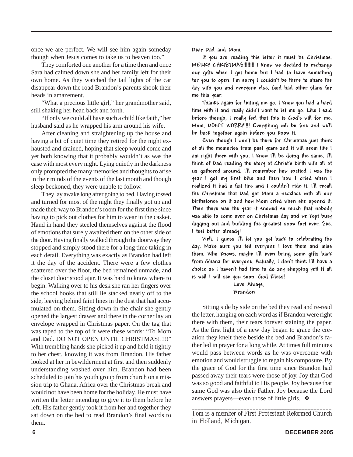once we are perfect. We will see him again someday though when Jesus comes to take us to heaven too."

They comforted one another for a time then and once Sara had calmed down she and her family left for their own home. As they watched the tail lights of the car disappear down the road Brandon's parents shook their heads in amazement.

"What a precious little girl," her grandmother said, still shaking her head back and forth.

"If only we could all have such a child like faith," her husband said as he wrapped his arm around his wife.

After cleaning and straightening up the house and having a bit of quiet time they retired for the night exhausted and drained, hoping that sleep would come and yet both knowing that it probably wouldn't as was the case with most every night. Lying quietly in the darkness only prompted the many memories and thoughts to arise in their minds of the events of the last month and though sleep beckoned, they were unable to follow.

They lay awake long after going to bed. Having tossed and turned for most of the night they finally got up and made their way to Brandon's room for the first time since having to pick out clothes for him to wear in the casket. Hand in hand they steeled themselves against the flood of emotions that surely awaited them on the other side of the door. Having finally walked through the doorway they stopped and simply stood there for a long time taking in each detail. Everything was exactly as Brandon had left it the day of the accident. There were a few clothes scattered over the floor, the bed remained unmade, and the closet door stood ajar. It was hard to know where to begin. Walking over to his desk she ran her fingers over the school books that still lie stacked neatly off to the side, leaving behind faint lines in the dust that had accumulated on them. Sitting down in the chair she gently opened the largest drawer and there in the corner lay an envelope wrapped in Christmas paper. On the tag that was taped to the top of it were these words: "To Mom and Dad. DO NOT OPEN UNTIL CHRISTMAS!!!!!" With trembling hands she picked it up and held it tightly to her chest, knowing it was from Brandon. His father looked at her in bewilderment at first and then suddenly understanding washed over him. Brandon had been scheduled to join his youth group from church on a mission trip to Ghana, Africa over the Christmas break and would not have been home for the holiday. He must have written the letter intending to give it to them before he left. His father gently took it from her and together they sat down on the bed to read Brandon's final words to them.

Dear Dad and Mom,

If you are reading this letter it must be Christmas. MERRY CHRISTMAS!!!!!!!! I know we decided to exchange our gifts when I get home but I had to leave something for you to open. I'm sorry I couldn't be there to share the day with you and everyone else. God had other plans for me this year.

Thanks again for letting me go. I know you had a hard time with it and really didn't want to let me go. Like I said before though, I really feel that this is God's will for me. Mom, DON'T WORRY!!!! Everything will be fine and we'll be back together again before you know it.

Even though I won't be there for Christmas just think of all the memories from past years and it will seem like I am right there with you. I know I'll be doing the same. I'll think of Dad reading the story of Christ's birth with all of us gathered around. I'll remember how excited I was the year I got my first bike and then how I cried when I realized it had a flat tire and I couldn't ride it. I'll recall the Christmas that Dad got Mom a necklace with all our birthstones on it and how Mom cried when she opened it. Then there was the year it snowed so much that nobody was able to come over on Christmas day and we kept busy digging out and building the greatest snow fort ever. See, I feel better already!

Well, I guess I'll let you get back to celebrating the day. Make sure you tell everyone I love them and miss them. Who knows, maybe I'll even bring some gifts back from Ghana for everyone. Actually, I don't think I'll have a choice as I haven't had time to do any shopping yet! If all is well I will see you soon. God Bless!

Love Always, Brandon

Sitting side by side on the bed they read and re-read the letter, hanging on each word as if Brandon were right there with them, their tears forever staining the paper. As the first light of a new day began to grace the creation they knelt there beside the bed and Brandon's father led in prayer for a long while. At times full minutes would pass between words as he was overcome with emotion and would struggle to regain his composure. By the grace of God for the first time since Brandon had passed away their tears were those of joy. Joy that God was so good and faithful to His people. Joy because that same God was also their Father. Joy because the Lord answers prayers—even those of little girls. ❖

*\_\_\_\_\_\_\_\_\_\_\_\_\_\_\_\_\_\_\_\_\_\_\_\_\_\_\_\_\_\_\_\_\_\_\_\_\_\_\_\_\_\_\_\_\_\_ Tom is a member of First Protestant Reformed Church in Holland, Michigan.*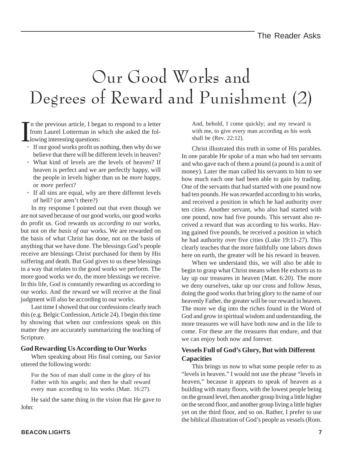## Our Good Works and Degrees of Reward and Punishment (2)

I n the previous article, I began to respond to a letter from Laurel Lotterman in which she asked the following interesting questions:

- **·** If our good works profit us nothing, then why do we believe that there will be different levels in heaven?
- **·** What kind of levels are the levels of heaven? If heaven is perfect and we are perfectly happy, will the people in levels higher than us be *more* happy, or *more* perfect?
- **·** If all sins are equal, why are there different levels of hell? (or aren't there?)

In my response I pointed out that even though we are not saved because of our good works, our good works do profit us. God rewards us *according to* our works, but not *on the basis of* our works. We are rewarded on the basis of what Christ has done, not on the basis of anything that we have done. The blessings God's people receive are blessings Christ purchased for them by His suffering and death. But God gives to us these blessings in a way that relates to the good works we perform. The more good works we do, the more blessings we receive. In this life, God is constantly rewarding us according to our works. And the reward we will receive at the final judgment will also be according to our works.

Last time I showed that our confessions clearly teach this (e.g. Belgic Confession, Article 24). I begin this time by showing that when our confessions speak on this matter they are accurately summarizing the teaching of Scripture.

#### **God Rewarding Us According to Our Works**

When speaking about His final coming, our Savior uttered the following words:

For the Son of man shall come in the glory of his Father with his angels; and then he shall reward every man according to his works (Matt. 16:27).

He said the same thing in the vision that He gave to John:

And, behold, I come quickly; and my reward is with me, to give every man according as his work shall be (Rev. 22:12).

Christ illustrated this truth in some of His parables. In one parable He spoke of a man who had ten servants and who gave each of them a pound (a pound is a unit of money). Later the man called his servants to him to see how much each one had been able to gain by trading. One of the servants that had started with one pound now had ten pounds. He was rewarded according to his works, and received a position in which he had authority over ten cities. Another servant, who also had started with one pound, now had five pounds. This servant also received a reward that was according to his works. Having gained five pounds, he received a position in which he had authority over five cities (Luke 19:11-27). This clearly teaches that the more faithfully one labors down here on earth, the greater will be his reward in heaven.

When we understand this, we will also be able to begin to grasp what Christ means when He exhorts us to lay up our treasures in heaven (Matt. 6:20). The more we deny ourselves, take up our cross and follow Jesus, doing the good works that bring glory to the name of our heavenly Father, the greater will be our reward in heaven. The more we dig into the riches found in the Word of God and grow in spiritual wisdom and understanding, the more treasures we will have both now and in the life to come. For these are the treasures that endure, and that we can enjoy both now and forever.

#### **Vessels Full of God's Glory, But with Different Capacities**

This brings us now to what some people refer to as "levels in heaven." I would not use the phrase "levels in heaven," because it appears to speak of heaven as a building with many floors, with the lowest people being on the ground level, then another group living a little higher on the second floor, and another group living a little higher yet on the third floor, and so on. Rather, I prefer to use the biblical illustration of God's people as vessels (Rom.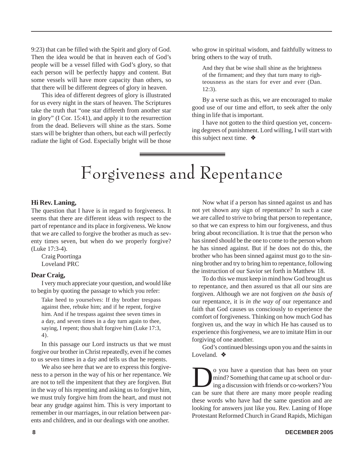9:23) that can be filled with the Spirit and glory of God. Then the idea would be that in heaven each of God's people will be a vessel filled with God's glory, so that each person will be perfectly happy and content. But some vessels will have more capacity than others, so that there will be different degrees of glory in heaven.

This idea of different degrees of glory is illustrated for us every night in the stars of heaven. The Scriptures take the truth that "one star differeth from another star in glory" (I Cor. 15:41), and apply it to the resurrection from the dead. Believers will shine as the stars. Some stars will be brighter than others, but each will perfectly radiate the light of God. Especially bright will be those

who grow in spiritual wisdom, and faithfully witness to bring others to the way of truth.

And they that be wise shall shine as the brightness of the firmament; and they that turn many to righteousness as the stars for ever and ever (Dan. 12:3).

By a verse such as this, we are encouraged to make good use of our time and effort, to seek after the only thing in life that is important.

I have not gotten to the third question yet, concerning degrees of punishment. Lord willing, I will start with this subject next time. ❖

## Forgiveness and Repentance

#### **Hi Rev. Laning,**

The question that I have is in regard to forgiveness. It seems that there are different ideas with respect to the part of repentance and its place in forgiveness. We know that we are called to forgive the brother as much as seventy times seven, but when do we properly forgive? (Luke 17:3-4).

Craig Poortinga Loveland PRC

#### **Dear Craig,**

I very much appreciate your question, and would like to begin by quoting the passage to which you refer:

Take heed to yourselves: If thy brother trespass against thee, rebuke him; and if he repent, forgive him. And if he trespass against thee seven times in a day, and seven times in a day turn again to thee, saying, I repent; thou shalt forgive him (Luke 17:3, 4).

In this passage our Lord instructs us that we must forgive our brother in Christ repeatedly, even if he comes to us seven times in a day and tells us that he repents.

We also see here that we are to express this forgiveness to a person in the way of his or her repentance. We are not to tell the impenitent that they are forgiven. But in the way of his repenting and asking us to forgive him, we must truly forgive him from the heart, and must not bear any grudge against him. This is very important to remember in our marriages, in our relation between parents and children, and in our dealings with one another.

Now what if a person has sinned against us and has not yet shown any sign of repentance? In such a case we are called to strive to bring that person to repentance, so that we can express to him our forgiveness, and thus bring about reconciliation. It is true that the person who has sinned should be the one to come to the person whom he has sinned against. But if he does not do this, the brother who has been sinned against must go to the sinning brother and try to bring him to repentance, following the instruction of our Savior set forth in Matthew 18.

To do this we must keep in mind how God brought us to repentance, and then assured us that all our sins are forgiven. Although we are not forgiven *on the basis of* our repentance, it is *in the way of* our repentance and faith that God causes us consciously to experience the comfort of forgiveness. Thinking on how much God has forgiven us, and the way in which He has caused us to experience this forgiveness, we are to imitate Him in our forgiving of one another.

God's continued blessings upon you and the saints in Loveland. ❖

O you have a question that has been on your<br>mind? Something that came up at school or dur-<br>ing a discussion with friends or co-workers? You<br>can be sure that there are many more people reading mind? Something that came up at school or during a discussion with friends or co-workers? You can be sure that there are many more people reading these words who have had the same question and are looking for answers just like you. Rev. Laning of Hope Protestant Reformed Church in Grand Rapids, Michigan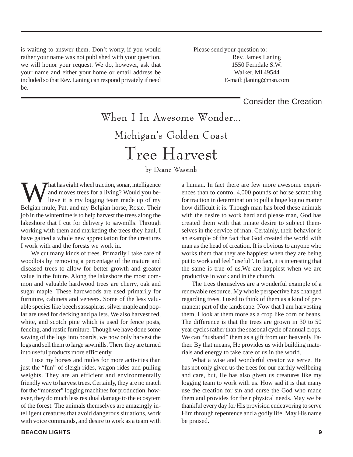is waiting to answer them. Don't worry, if you would rather your name was not published with your question, we will honor your request. We do, however, ask that your name and either your home or email address be included so that Rev. Laning can respond privately if need be.

 Please send your question to: Rev. James Laning 1550 Ferndale S.W. Walker, MI 49544 E-mail: jlaning@msn.com

#### Consider the Creation

When I In Awesome Wonder… Michigan's Golden Coast Tree Harvest

by Deane Wassink

What has eight wheel traction, sonar, intelligence<br>and moves trees for a living? Would you be-<br>lieve it is my logging team made up of my and moves trees for a living? Would you believe it is my logging team made up of my Belgian mule, Pat, and my Belgian horse, Rosie. Their job in the wintertime is to help harvest the trees along the lakeshore that I cut for delivery to sawmills. Through working with them and marketing the trees they haul, I have gained a whole new appreciation for the creatures I work with and the forests we work in.

We cut many kinds of trees. Primarily I take care of woodlots by removing a percentage of the mature and diseased trees to allow for better growth and greater value in the future. Along the lakeshore the most common and valuable hardwood trees are cherry, oak and sugar maple. These hardwoods are used primarily for furniture, cabinets and veneers. Some of the less valuable species like beech sassaphras, silver maple and poplar are used for decking and pallets. We also harvest red, white, and scotch pine which is used for fence posts, fencing, and rustic furniture. Though we have done some sawing of the logs into boards, we now only harvest the logs and sell them to large sawmills. There they are turned into useful products more efficiently.

I use my horses and mules for more activities than just the "fun" of sleigh rides, wagon rides and pulling weights. They are an efficient and environmentally friendly way to harvest trees. Certainly, they are no match for the "monster" logging machines for production, however, they do much less residual damage to the ecosytem of the forest. The animals themselves are amazingly intelligent creatures that avoid dangerous situations, work with voice commands, and desire to work as a team with

a human. In fact there are few more awesome experiences than to control 4,000 pounds of horse scratching for traction in determination to pull a huge log no matter how difficult it is. Though man has bred these animals with the desire to work hard and please man, God has created them with that innate desire to subject themselves in the service of man. Certainly, their behavior is an example of the fact that God created the world with man as the head of creation. It is obvious to anyone who works them that they are happiest when they are being put to work and feel "useful". In fact, it is interesting that the same is true of us.We are happiest when we are productive in work and in the church.

The trees themselves are a wonderful example of a renewable resource. My whole perspective has changed regarding trees. I used to think of them as a kind of permanent part of the landscape. Now that I am harvesting them, I look at them more as a crop like corn or beans. The difference is that the trees are grown in 30 to 50 year cycles rather than the seasonal cycle of annual crops. We can "husband" them as a gift from our heavenly Father. By that means, He provides us with building materials and energy to take care of us in the world.

What a wise and wonderful creator we serve. He has not only given us the trees for our earthly wellbeing and care, but, He has also given us creatures like my logging team to work with us. How sad it is that many use the creation for sin and curse the God who made them and provides for their physical needs. May we be thankful every day for His provision endeavoring to serve Him through repentence and a godly life. May His name be praised.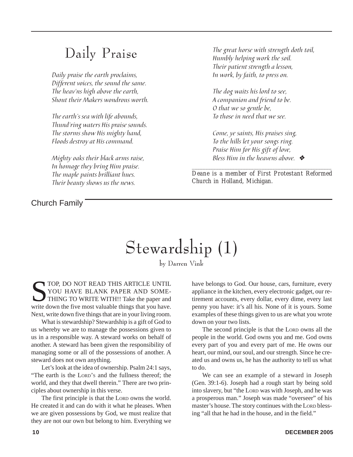### Daily Praise

Daily praise the earth proclaims, Different voices, the sound the same. The heav'ns high above the earth, Shout their Makers wondrous worth.

The earth's sea with life abounds, Thund'ring waters His praise sounds. The storms show His mighty hand, Floods destroy at His command.

Mighty oaks their black arms raise, In homage they bring Him praise. The maple paints brilliant hues. Their beauty shows us the news.

Church Family

The great horse with strength doth toil, Humbly helping work the soil. Their patient strength a lesson, In work, by faith, to press on.

The dog waits his lord to see, A companion and friend to be. O that we so gentle be, To those in need that we see.

Come, ye saints, His praises sing, To the hills let your songs ring. Praise Him for His gift of love, Bless Him in the heavens above.  $\cdot$ 

*\_\_\_\_\_\_\_\_\_\_\_\_\_\_\_\_\_\_\_\_\_\_\_\_\_\_\_\_\_\_\_\_\_\_\_\_\_\_\_\_\_\_\_\_\_\_\_\_\_\_\_\_ Deane is a member of First Protestant Reformed Church in Holland, Michigan.*

## Stewardship (1)

by Darren Vink

TOP, DO NOT READ THIS ARTICLE UNTIL YOU HAVE BLANK PAPER AND SOME-THING TO WRITE WITH!! Take the paper and write down the five most valuable things that you have. Next, write down five things that are in your living room.

What is stewardship? Stewardship is a gift of God to us whereby we are to manage the possessions given to us in a responsible way. A steward works on behalf of another. A steward has been given the responsibility of managing some or all of the possessions of another. A steward does not own anything.

Let's look at the idea of ownership. Psalm 24:1 says, "The earth is the LORD'S and the fullness thereof; the world, and they that dwell therein." There are two principles about ownership in this verse.

The first principle is that the LORD owns the world. He created it and can do with it what he pleases. When we are given possessions by God, we must realize that they are not our own but belong to him. Everything we

have belongs to God. Our house, cars, furniture, every appliance in the kitchen, every electronic gadget, our retirement accounts, every dollar, every dime, every last penny you have: it's all his. None of it is yours. Some examples of these things given to us are what you wrote down on your two lists.

The second principle is that the LORD owns all the people in the world. God owns you and me. God owns every part of you and every part of me. He owns our heart, our mind, our soul, and our strength. Since he created us and owns us, he has the authority to tell us what to do.

We can see an example of a steward in Joseph (Gen. 39:1-6). Joseph had a rough start by being sold into slavery, but "the LORD was with Joseph, and he was a prosperous man." Joseph was made "overseer" of his master's house. The story continues with the LORD blessing "all that he had in the house, and in the field."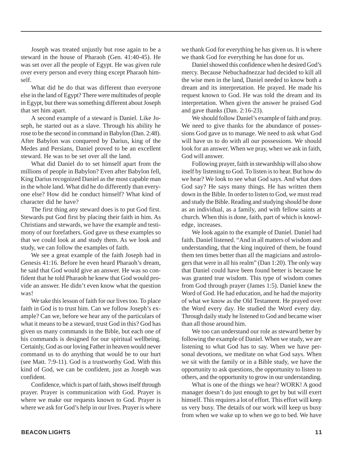Joseph was treated unjustly but rose again to be a steward in the house of Pharaoh (Gen. 41:40-45). He was set over all the people of Egypt. He was given rule over every person and every thing except Pharaoh himself.

What did he do that was different than everyone else in the land of Egypt? There were multitudes of people in Egypt, but there was something different about Joseph that set him apart.

A second example of a steward is Daniel. Like Joseph, he started out as a slave. Through his ability he rose to be the second in command in Babylon (Dan. 2:48). After Babylon was conquered by Darius, king of the Medes and Persians, Daniel proved to be an excellent steward. He was to be set over all the land.

What did Daniel do to set himself apart from the millions of people in Babylon? Even after Babylon fell, King Darius recognized Daniel as the most capable man in the whole land. What did he do differently than everyone else? How did he conduct himself? What kind of character did he have?

The first thing any steward does is to put God first. Stewards put God first by placing their faith in him. As Christians and stewards, we have the example and testimony of our forefathers. God gave us these examples so that we could look at and study them. As we look and study, we can follow the examples of faith.

We see a great example of the faith Joseph had in Genesis 41:16. Before he even heard Pharaoh's dream, he said that God would give an answer. He was so confident that he told Pharaoh he knew that God would provide an answer. He didn't even know what the question was!

We take this lesson of faith for our lives too. To place faith in God is to trust him. Can we follow Joseph's example? Can we, before we hear any of the particulars of what it means to be a steward, trust God in this? God has given us many commands in the Bible, but each one of his commands is designed for our spiritual wellbeing. Certainly, God as our loving Father in heaven would never command us to do anything that would be to our hurt (see Matt. 7:9-11). God is a trustworthy God. With this kind of God, we can be confident, just as Joseph was confident.

Confidence, which is part of faith, shows itself through prayer. Prayer is communication with God. Prayer is where we make our requests known to God. Prayer is where we ask for God's help in our lives. Prayer is where we thank God for everything he has given us. It is where we thank God for everything he has done for us.

Daniel showed this confidence when he desired God's mercy. Because Nebuchadnezzar had decided to kill all the wise men in the land, Daniel needed to know both a dream and its interpretation. He prayed. He made his request known to God. He was told the dream and its interpretation. When given the answer he praised God and gave thanks (Dan. 2:16-23).

We should follow Daniel's example of faith and pray. We need to give thanks for the abundance of possessions God gave us to manage. We need to ask what God will have us to do with all our possessions. We should look for an answer. When we pray, when we ask in faith, God will answer.

Following prayer, faith in stewardship will also show itself by listening to God. To listen is to hear. But how do we hear? We look to see what God says. And what does God say? He says many things. He has written them down in the Bible. In order to listen to God, we must read and study the Bible. Reading and studying should be done as an individual, as a family, and with fellow saints at church. When this is done, faith, part of which is knowledge, increases.

We look again to the example of Daniel. Daniel had faith. Daniel listened. "And in all matters of wisdom and understanding, that the king inquired of them, he found them ten times better than all the magicians and astrologers that were in all his realm" (Dan 1:20). The only way that Daniel could have been found better is because he was granted true wisdom. This type of wisdom comes from God through prayer (James 1:5). Daniel knew the Word of God. He had education, and he had the majority of what we know as the Old Testament. He prayed over the Word every day. He studied the Word every day. Through daily study he listened to God and became wiser than all those around him.

We too can understand our role as steward better by following the example of Daniel. When we study, we are listening to what God has to say. When we have personal devotions, we meditate on what God says. When we sit with the family or in a Bible study, we have the opportunity to ask questions, the opportunity to listen to others, and the opportunity to grow in our understanding.

What is one of the things we hear? WORK! A good manager doesn't do just enough to get by but will exert himself. This requires a lot of effort. This effort will keep us very busy. The details of our work will keep us busy from when we wake up to when we go to bed. We have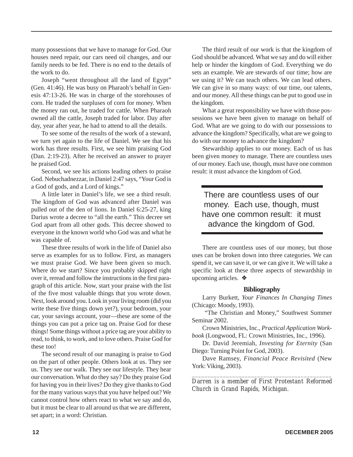many possessions that we have to manage for God. Our houses need repair, our cars need oil changes, and our family needs to be fed. There is no end to the details of the work to do.

Joseph "went throughout all the land of Egypt" (Gen. 41:46). He was busy on Pharaoh's behalf in Genesis 47:13-26. He was in charge of the storehouses of corn. He traded the surpluses of corn for money. When the money ran out, he traded for cattle. When Pharaoh owned all the cattle, Joseph traded for labor. Day after day, year after year, he had to attend to all the details.

To see some of the results of the work of a steward, we turn yet again to the life of Daniel. We see that his work has three results. First, we see him praising God (Dan. 2:19-23). After he received an answer to prayer he praised God.

Second, we see his actions leading others to praise God. Nebuchadnezzar, in Daniel 2:47 says, "Your God is a God of gods, and a Lord of kings."

A little later in Daniel's life, we see a third result. The kingdom of God was advanced after Daniel was pulled out of the den of lions. In Daniel 6:25-27, king Darius wrote a decree to "all the earth." This decree set God apart from all other gods. This decree showed to everyone in the known world who God was and what he was capable of.

These three results of work in the life of Daniel also serve as examples for us to follow. First, as managers we must praise God. We have been given so much. Where do we start? Since you probably skipped right over it, reread and follow the instructions in the first paragraph of this article. Now, start your praise with the list of the five most valuable things that you wrote down. Next, look around you. Look in your living room (did you write these five things down yet?), your bedroom, your car, your savings account, your—these are some of the things you can put a price tag on. Praise God for these things! Some things without a price tag are your ability to read, to think, to work, and to love others. Praise God for these too!

The second result of our managing is praise to God on the part of other people. Others look at us. They see us. They see our walk. They see our lifestyle. They hear our conversation. What do they say? Do they praise God for having you in their lives? Do they give thanks to God for the many various ways that you have helped out? We cannot control how others react to what we say and do, but it must be clear to all around us that we are different, set apart; in a word: Christian.

The third result of our work is that the kingdom of God should be advanced. What we say and do will either help or hinder the kingdom of God. Everything we do sets an example. We are stewards of our time; how are we using it? We can teach others. We can lead others. We can give in so many ways: of our time, our talents, and our money. All these things can be put to good use in the kingdom.

What a great responsibility we have with those possessions we have been given to manage on behalf of God. What are we going to do with our possessions to advance the kingdom? Specifically, what are we going to do with our money to advance the kingdom?

Stewardship applies to our money. Each of us has been given money to manage. There are countless uses of our money. Each use, though, must have one common result: it must advance the kingdom of God.

There are countless uses of our money. Each use, though, must have one common result: it must advance the kingdom of God.

There are countless uses of our money, but those uses can be broken down into three categories. We can spend it, we can save it, or we can give it. We will take a specific look at these three aspects of stewardship in upcoming articles. ❖

#### **Bibliography**

Larry Burkett, *Your Finances In Changing Times* (Chicago: Moody, 1993).

 "The Christian and Money," Southwest Summer Seminar 2002.

Crown Ministries, Inc., *Practical Application Workbook* (Longwood, FL: Crown Ministries, Inc., 1996).

Dr. David Jeremiah, *Investing for Eternity* (San Diego: Turning Point for God, 2003).

Dave Ramsey, *Financial Peace Revisited* (New York: Viking, 2003).

*\_\_\_\_\_\_\_\_\_\_\_\_\_\_\_\_\_\_\_\_\_\_\_\_\_\_\_\_\_\_\_\_\_\_\_\_\_\_\_\_\_\_\_\_\_ Darren is a member of First Protestant Reformed Church in Grand Rapids, Michigan.*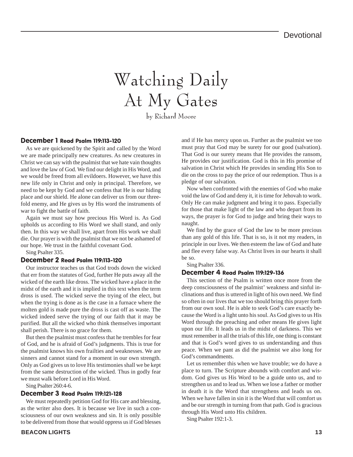## Watching Daily At My Gates by Richard Moore

#### December 1 Read Psalm 119:113-120

As we are quickened by the Spirit and called by the Word we are made principally new creatures. As new creatures in Christ we can say with the psalmist that we hate vain thoughts and love the law of God. We find our delight in His Word, and we would be freed from all evildoers. However, we have this new life only in Christ and only in principal. Therefore, we need to be kept by God and we confess that He is our hiding place and our shield. He alone can deliver us from our threefold enemy, and He gives us by His word the instruments of war to fight the battle of faith.

Again we must say how precious His Word is. As God upholds us according to His Word we shall stand, and only then. In this way we shall live, apart from His work we shall die. Our prayer is with the psalmist that we not be ashamed of our hope. We trust in the faithful covenant God.

Sing Psalter 335.

#### December 2 Read Psalm 119:113-120

Our instructor teaches us that God trods down the wicked that err from the statutes of God, further He puts away all the wicked of the earth like dross. The wicked have a place in the midst of the earth and it is implied in this text when the term dross is used. The wicked serve the trying of the elect, but when the trying is done as is the case in a furnace where the molten gold is made pure the dross is cast off as waste. The wicked indeed serve the trying of our faith that it may be purified. But all the wicked who think themselves important shall perish. There is no grace for them.

But then the psalmist must confess that he trembles for fear of God, and he is afraid of God's judgments. This is true for the psalmist knows his own frailties and weaknesses. We are sinners and cannot stand for a moment in our own strength. Only as God gives us to love His testimonies shall we be kept from the same destruction of the wicked. Thus in godly fear we must walk before Lord in His Word.

Sing Psalter 260:4-6.

#### December 3 Read Psalm 119:121-128

We must repeatedly petition God for His care and blessing, as the writer also does. It is because we live in such a consciousness of our own weakness and sin. It is only possible to be delivered from those that would oppress us if God blesses

and if He has mercy upon us. Further as the psalmist we too must pray that God may be surety for our good (salvation). That God is our surety means that He provides the ransom, He provides our justification. God is this in His promise of salvation in Christ which He provides in sending His Son to die on the cross to pay the price of our redemption. Thus is a pledge of our salvation.

Now when confronted with the enemies of God who make void the law of God and deny it, it is time for Jehovah to work. Only He can make judgment and bring it to pass. Especially for those that make light of the law and who depart from its ways, the prayer is for God to judge and bring their ways to naught.

We find by the grace of God the law to be more precious than any gold of this life. That is so, is it not my readers, in principle in our lives. We then esteem the law of God and hate and flee every false way. As Christ lives in our hearts it shall be so.

Sing Psalter 336.

#### December 4 Read Psalm 119:129-136

This section of the Psalm is written once more from the deep consciousness of the psalmist' weakness and sinful inclinations and thus is uttered in light of his own need. We find so often in our lives that we too should bring this prayer forth from our own soul. He is able to seek God's care exactly because the Word is a light unto his soul. As God gives to us His Word through the preaching and other means He gives light upon our life. It leads us in the midst of darkness. This we must remember in all the trials of this life, one thing is constant and that is God's word gives to us understanding and thus peace. When we pant as did the psalmist we also long for God's commandments.

Let us remember this when we have trouble; we do have a place to turn. The Scripture abounds with comfort and wisdom. God gives us His Word to be a guide unto us, and to strengthen us and to lead us. When we lose a father or mother in death it is the Word that strengthens and leads us on. When we have fallen in sin it is the Word that will comfort us and be our strength in turning from that path. God is gracious through His Word unto His children.

Sing Psalter 192:1-3.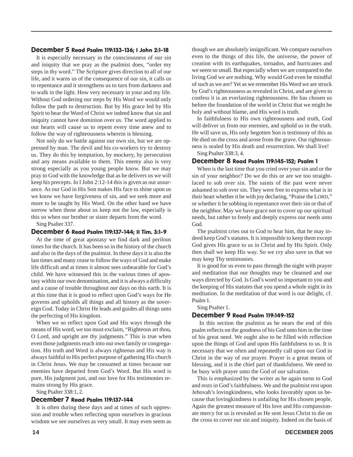#### December 5 Read Psalm 119:133-136; I John 2:1-18

It is especially necessary in the consciousness of our sin and iniquity that we pray as the psalmist does, "order my steps in thy word." The Scripture gives direction to all of our life, and it warns us of the consequence of our sin, it calls us to repentance and it strengthens us to turn from darkness and to walk in the light. How very necessary in your and my life. Without God ordering our steps by His Word we would only follow the path to destruction. But by His grace led by His Spirit to hear the Word of Christ we indeed know that sin and iniquity cannot have dominion over us. The word applied to our hearts will cause us to repent every time anew and to follow the way of righteousness wherein is blessing.

Not only do we battle against our own sin, but we are oppressed by man. The devil and his co-workers try to destroy us. They do this by temptation, by mockery, by persecution and any means available to them. This enemy also is very strong especially as you young people know. But we may pray to God with the knowledge that as he delivers us we will keep his precepts. In I John 2:12-14 this is given as our assurance. As our God in His Son makes His face to shine upon us we know we have forgiveness of sin, and we seek more and more to be taught by His Word. On the other hand we have sorrow when those about us keep not the law, especially is this so when our brother or sister departs from the word.

Sing Psalter 337.

#### December 6 Read Psalm 119:137-144; II Tim. 3:1-9

At the time of great apostasy we find dark and perilous times for the church. It has been so in the history of the church and also in the days of the psalmist. In these days it is also the last times and many cease to follow the ways of God and make life difficult and at times it almost sees unbearable for God's child. We have witnessed this in the various times of apostasy within our own denomination, and it is always a difficulty and a cause of trouble throughout our days on this earth. It is at this time that it is good to reflect upon God's ways for He governs and upholds all things and all history as the sovereign God. Today in Christ He leads and guides all things unto the perfecting of His kingdom.

When we so reflect upon God and His ways through the means of His word, we too must exclaim, "Righteous art thou, O Lord, and upright are thy judgments." This is true when even those judgments reach into our own family or congregation. His truth and Word is always righteous and His way is always faithful to His perfect purpose of gathering His church in Christ Jesus. We may be consumed at times because our enemies have departed from God's Word. But His word is pure, His judgment just, and our love for His testimonies remains strong by His grace.

Sing Psalter 338:1, 2.

#### December 7 Read Psalm 119:137-144

It is often during these days and at times of such oppression and trouble when reflecting upon ourselves in gracious wisdom we see ourselves as very small. It may even seem as though we are absolutely insignificant. We compare ourselves even to the things of this life, the universe, the power of creation with its earthquakes, tornados, and hurricanes and we seem so small. But especially when we are compared to the living God we are nothing. Why would God even be mindful of such as we are? Yet as we remember His Word we are struck by God's righteousness as revealed in Christ, and are given to confess it is an everlasting righteousness. He has chosen us before the foundation of the world in Christ that we might be holy and without blame, and His word is truth.

In faithfulness to His own righteousness and truth, God will deliver us from our enemies, and uphold us in the truth. He will save us, His only begotten Son is testimony of this as He died on the cross and arose from the grave. Our righteousness is sealed by His death and resurrection. We shall live! Sing Psalter 338:3, 4.

#### December 8 Read Psalm 119:145-152; Psalm 1

When is the last time that you cried over your sin and or the sin of your neighbor? Do we do this or are we too straightlaced to sob over sin. The saints of the past were never ashamed to sob over sin. They were free to express what is in their heart whether it be with joy declaring, "Praise the LORD," or whether it be sobbing in repentance over their sin or that of the neighbor. May we have grace not to cover up our spiritual needs, but rather to freely and deeply express our needs unto God.

The psalmist cries out to God to hear him, that he may indeed keep God's statutes. It is impossible to keep them except God gives His grace to us in Christ and by His Spirit. Only then shall we keep His way. So we cry also save us that we may keep Thy testimonies.

It is good for us even to pass through the night with prayer and meditation that our thoughts may be cleansed and our ways directed by God. Is God's word so important to you and the keeping of His statutes that you spend a whole night in its meditation. In the meditation of that word is our delight, cf. Psalm 1.

Sing Psalter 1.

#### December 9 Read Psalm 119:149-152

In this section the psalmist as he nears the end of this psalm reflects on the goodness of his God unto him in the time of his great need. We ought also to be filled with reflection upon the things of God and upon His faithfulness to us. It is necessary that we often and repeatedly call upon our God in Christ in the way of our prayer. Prayer is a great means of blessing, and it is the chief part of thankfulness. We need to be busy with prayer unto the God of our salvation.

This is emphasized by the writer as he again turns to God and rests in God's faithfulness. We and the psalmist rest upon Jehovah's lovingkindness, who looks favorably upon us because that lovingkindness is unfailing for His chosen people. Again the greatest measure of His love and His compassionate mercy for us is revealed as He sent Jesus Christ to die on the cross to cover our sin and iniquity. Indeed on the basis of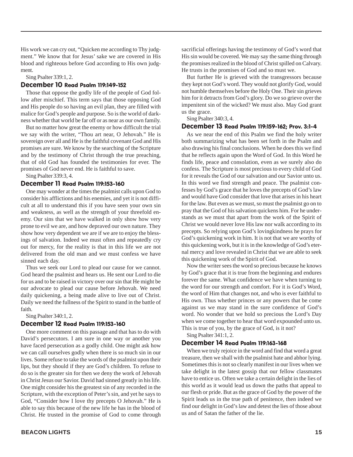His work we can cry out, "Quicken me according to Thy judgment." We know that for Jesus' sake we are covered in His blood and righteous before God according to His own judgment.

Sing Psalter 339:1, 2.

#### December 10 Read Psalm 119:149-152

Those that oppose the godly life of the people of God follow after mischief. This term says that those opposing God and His people do so having an evil plan, they are filled with malice for God's people and purpose. So is the world of darkness whether that world be far off or as near as our own family.

But no matter how great the enemy or how difficult the trial we say with the writer, "Thou art near, O Jehovah." He is sovereign over all and He is the faithful covenant God and His promises are sure. We know by the searching of the Scripture and by the testimony of Christ through the true preaching, that of old God has founded the testimonies for ever. The promises of God never end. He is faithful to save.

Sing Psalter 339:3, 4.

#### December 11 Read Psalm 119:153-160

One may wonder at the times the psalmist calls upon God to consider his afflictions and his enemies, and yet it is not difficult at all to understand this if you have seen your own sin and weakness, as well as the strength of your threefold enemy. Our sins that we have walked in only show how very prone to evil we are, and how depraved our own nature. They show how very dependent we are if we are to enjoy the blessings of salvation. Indeed we must often and repeatedly cry out for mercy, for the reality is that in this life we are not delivered from the old man and we must confess we have sinned each day.

Thus we seek our Lord to plead our cause for we cannot. God heard the psalmist and hears us. He sent our Lord to die for us and to be raised in victory over our sin that He might be our advocate to plead our cause before Jehovah. We need daily quickening, a being made alive to live out of Christ. Daily we need the fullness of the Spirit to stand in the battle of faith.

Sing Psalter 340:1, 2.

#### December 12 Read Psalm 119:153-160

One more comment on this passage and that has to do with David's persecutors. I am sure in one way or another you have faced persecution as a godly child. One might ask how we can call ourselves godly when there is so much sin in our lives. Some refuse to take the words of the psalmist upon their lips, but they should if they are God's children. To refuse to do so is the greater sin for then we deny the work of Jehovah in Christ Jesus our Savior. David had sinned greatly in his life. One might consider his the greatest sin of any recorded in the Scripture, with the exception of Peter's sin, and yet he says to God, "Consider how I love thy precepts O Jehovah." He is able to say this because of the new life he has in the blood of Christ. He trusted in the promise of God to come through

sacrificial offerings having the testimony of God's word that His sin would be covered. We may say the same thing through the promises realized in the blood of Christ spilled on Calvary. He trusts in the promises of God and so must we.

But further He is grieved with the transgressors because they kept not God's word. They would not glorify God, would not humble themselves before the Holy One. Their sin grieves him for it detracts from God's glory. Do we so grieve over the impenitent sin of the wicked? We must also. May God grant us the grace.

#### Sing Psalter 340:3, 4.

#### December 13 Read Psalm 119:159-162; Prov. 3:1-4

As we near the end of this Psalm we find the holy writer both summarizing what has been set forth in the Psalm and also drawing his final conclusions. When he does this we find that he reflects again upon the Word of God. In this Word he finds life, peace and consolation, even as we surely also do confess. The Scripture is most precious to every child of God for it reveals the God of our salvation and our Savior unto us. In this word we find strength and peace. The psalmist confesses by God's grace that he loves the precepts of God's law and would have God consider that love that arises in his heart for the law. But even as we must, so must the psalmist go on to pray that the God of his salvation quickens him. For he understands as we must that apart from the work of the Spirit of Christ we would never love His law nor walk according to its precepts. So relying upon God's lovingkindness he prays for God's quickening work in him. It is not that we are worthy of this quickening work, but it is in the knowledge of God's eternal mercy and love revealed in Christ that we are able to seek this quickening work of the Spirit of God.

Now the writer sees the word so precious because he knows by God's grace that it is true from the beginning and endures forever the same. What confidence we have when turning to the word for our strength and comfort. For it is God's Word, the word of Him that changes not, and who is ever faithful to His own. Thus whether princes or any powers that be come against us we may stand in the sure confidence of God's word. No wonder that we hold so precious the Lord's Day when we come together to hear that word expounded unto us. This is true of you, by the grace of God, is it not?

Sing Psalter 341:1, 2.

#### December 14 Read Psalm 119:163-168

When we truly rejoice in the word and find that word a great treasure, then we shall with the psalmist hate and abhor lying. Sometimes this is not so clearly manifest in our lives when we take delight in the latest gossip that our fellow classmates have to entice us. Often we take a certain delight in the lies of this world as it would lead us down the paths that appeal to our flesh or pride. But as the grace of God by the power of the Spirit leads us in the true path of penitence, then indeed we find our delight in God's law and detest the lies of those about us and of Satan the father of the lie.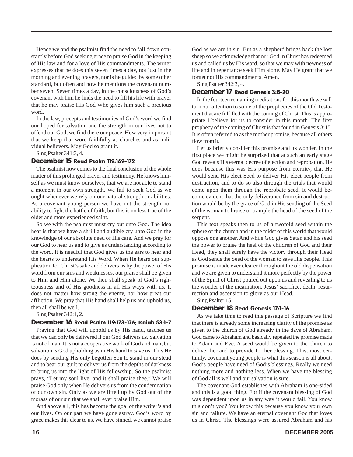Hence we and the psalmist find the need to fall down constantly before God seeking grace to praise God in the keeping of His law and for a love of His commandments. The writer expresses that he does this seven times a day, not just in the morning and evening prayers, nor is he guided by some other standard, but often and now he mentions the covenant number seven. Seven times a day, in the consciousness of God's covenant with him he finds the need to fill his life with prayer that he may praise His God Who gives him such a precious word.

In the law, precepts and testimonies of God's word we find our hoped for salvation and the strength in our lives not to offend our God, we find there our peace. How very important that we keep that word faithfully as churches and as individual believers. May God so grant it.

Sing Psalter 341:3, 4.

#### December 15 Read Psalm 119:169-172

The psalmist now comes to the final conclusion of the whole matter of this prolonged prayer and testimony. He knows himself as we must know ourselves, that we are not able to stand a moment in our own strength. We fail to seek God as we ought whenever we rely on our natural strength or abilities. As a covenant young person we have not the strength nor ability to fight the battle of faith, but this is no less true of the older and more experienced saint.

So we with the psalmist must cry out unto God. The idea hear is that we have a shrill and audible cry unto God in the knowledge of our absolute need of His care. And we pray for our God to hear us and to give us understanding according to the word. It is needful that God gives us the ears to hear and the hearts to understand His Word. When He hears our supplication for Christ's sake and delivers us by the power of His word from our sins and weaknesses, our praise shall be given to Him and Him alone. We then shall speak of God's righteousness and of His goodness in all His ways with us. It does not matter how strong the enemy, nor how great our affliction. We pray that His hand shall help us and uphold us, then all shall be well.

Sing Psalter 342:1, 2.

#### December 16 Read Psalm 119:173-176; Isaiah 53:1-7

Praying that God will uphold us by His hand, teaches us that we can only be delivered if our God delivers us. Salvation is not of man. It is not a cooperative work of God and man, but salvation is God upholding us in His hand to save us. This He does by sending His only begotten Son to stand in our stead and to bear our guilt to deliver us from the depths of darkness to bring us into the light of His fellowship. So the psalmist prays, "Let my soul live, and it shall praise thee." We will praise God only when He delivers us from the condemnation of our own sin. Only as we are lifted up by God out of the morass of our sin that we shall ever praise Him.

And above all, this has become the goal of the writer's and our lives. On our part we have gone astray. God's word by grace makes this clear to us. We have sinned, we cannot praise God as we are in sin. But as a shepherd brings back the lost sheep so we acknowledge that our God in Christ has redeemed us and called us by His word, so that we may with newness of life and in repentance seek Him alone. May He grant that we forget not His commandments. Amen.

Sing Psalter 342:3, 4.

#### December 17 Read Genesis 3:8-20

In the fourteen remaining meditations for this month we will turn our attention to some of the prophecies of the Old Testament that are fulfilled with the coming of Christ. This is appropriate I believe for us to consider in this month. The first prophecy of the coming of Christ is that found in Genesis 3:15. It is often referred to as the mother promise, because all others flow from it.

Let us briefly consider this promise and its wonder. In the first place we might be surprised that at such an early stage God reveals His eternal decree of election and reprobation. He does because this was His purpose from eternity, that He would send His elect Seed to deliver His elect people from destruction, and to do so also through the trials that would come upon them through the reprobate seed. It would become evident that the only deliverance from sin and destruction would be by the grace of God in His sending of the Seed of the woman to bruise or trample the head of the seed of the serpent.

This text speaks then to us of a twofold seed within the sphere of the church and in the midst of this world that would oppose one another. And while God gives Satan and his seed the power to bruise the heel of the children of God and their Head, they shall surely have the victory through their Head as God sends the Seed of the woman to save His people. This promise is made ever clearer throughout the old dispensation and we are given to understand it more perfectly by the power of the Spirit of Christ poured out upon us and revealing to us the wonder of the incarnation, Jesus' sacrifice, death, resurrection and ascension to glory as our Head.

Sing Psalter 15.

#### December 18 Read Genesis 17:1-16

As we take time to read this passage of Scripture we find that there is already some increasing clarity of the promise as given to the church of God already in the days of Abraham. God came to Abraham and basically repeated the promise made to Adam and Eve. A seed would be given to the church to deliver her and to provide for her blessing. This, most certainly, covenant young people is what this season is all about. God's people have need of God's blessings. Really we need nothing more and nothing less. When we have the blessing of God all is well and our salvation is sure.

The covenant God establishes with Abraham is one-sided and this is a good thing. For if the covenant blessing of God was dependent upon us in any way it would fail. You know this don't you? You know this because you know your own sin and failure. We have an eternal covenant God that loves us in Christ. The blessings were assured Abraham and his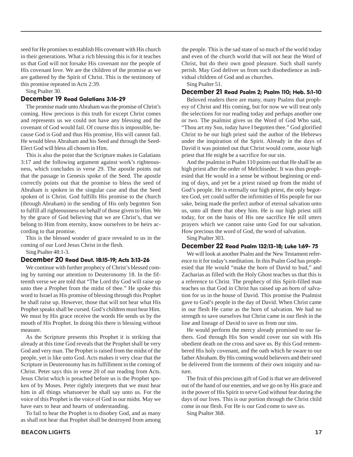seed for He promises to establish His covenant with His church in their generations. What a rich blessing this is for it teaches us that God will not forsake His covenant nor the people of His covenant love. We are the children of the promise as we are gathered by the Spirit of Christ. This is the testimony of this promise repeated in Acts 2:39.

Sing Psalter 30.

#### December 19 Read Galatians 3:16-29

The promise made unto Abraham was the promise of Christ's coming. How precious is this truth for except Christ comes and represents us we could not have any blessing and the covenant of God would fail. Of course this is impossible, because God is God and thus His promise, His will cannot fail. He would bless Abraham and his Seed and through the Seed-Elect God will bless all chosen in Him.

This is also the point that the Scripture makes in Galatians 3:17 and the following argument against work's righteousness, which concludes in verse 29. The apostle points out that the passage in Genesis spoke of the Seed. The apostle correctly points out that the promise to bless the seed of Abraham is spoken in the singular case and that the Seed spoken of is Christ. God fulfills His promise to the church (through Abraham) in the sending of His only begotten Son to fulfill all righteousness on behalf of those given to Him. We by the grace of God believing that we are Christ's, that we belong to Him from eternity, know ourselves to be heirs according to that promise.

This is the blessed wonder of grace revealed to us in the coming of our Lord Jesus Christ in the flesh.

Sing Psalter 48:1-3.

#### December 20 Read Deut. 18:15-19; Acts 3:13-26

We continue with further prophecy of Christ's blessed coming by turning our attention to Deuteronomy 18. In the fifteenth verse we are told that "The Lord thy God will raise up unto thee a Prophet from the midst of thee." He spoke this word to Israel as His promise of blessing through this Prophet he shall raise up. However, those that will not hear what His Prophet speaks shall be cursed. God's children must hear Him. We must by His grace receive the words He sends us by the mouth of His Prophet. In doing this there is blessing without measure.

As the Scripture presents this Prophet it is striking that already at this time God reveals that the Prophet shall be very God and very man. The Prophet is raised from the midst of the people, yet is like unto God. Acts makes it very clear that the Scripture in Deuteronomy has its fulfillment in the coming of Christ. Peter says this in verse 20 of our reading from Acts. Jesus Christ which is preached before us is the Prophet spoken of by Moses. Peter rightly interprets that we must hear him in all things whatsoever he shall say unto us. For the voice of this Prophet is the voice of God in our midst. May we have ears to hear and hearts of understanding.

To fail to hear the Prophet is to disobey God, and as many as shall not hear that Prophet shall be destroyed from among the people. This is the sad state of so much of the world today and even of the church world that will not hear the Word of Christ, but do their own good pleasure. Such shall surely perish. May God deliver us from such disobedience as individual children of God and as churches.

Sing Psalter 51.

#### December 21 Read Psalm 2; Psalm 110; Heb. 5:1-10

Beloved readers there are many, many Psalms that prophesy of Christ and His coming, but for now we will treat only the selections for our reading today and perhaps another one or two. The psalmist gives us the Word of God Who said, "Thou art my Son, today have I begotten thee." God glorified Christ to be our high priest said the author of the Hebrews under the inspiration of the Spirit. Already in the days of David it was pointed out that Christ would come, asour high priest that He might be a sacrifice for our sin.

And the psalmist in Psalm 110 points out that He shall be an high priest after the order of Melchisedec. It was thus prophesied that He would in a sense be without beginning or ending of days, and yet be a priest raised up from the midst of God's people. He is eternally our high priest, the only begotten God, yet could suffer the infirmities of His people for our sake, being made the perfect author of eternal salvation unto us, unto all them that obey him. He is our high priest still today, for on the basis of His one sacrifice He still utters prayers which we cannot raise unto God for our salvation. How precious the word of God, the word of salvation.

Sing Psalter 303.

#### December 22 Read Psalm 132:13-18; Luke 1:69- 75

We will look at another Psalm and the New Testament reference to it for today's meditation. In this Psalm God has prophesied that He would "make the horn of David to bud," and Zacharias as filled with the Holy Ghost teaches us that this is a reference to Christ. The prophecy of this Spirit-filled man teaches us that God in Christ has raised up an horn of salvation for us in the house of David. This promise the Psalmist gave to God's people in the day of David. When Christ came in our flesh He came as the horn of salvation. We had no strength to save ourselves but Christ came in our flesh in the line and lineage of David to save us from our sins.

He would perform the mercy already promised to our fathers. God through His Son would cover our sin with His obedient death on the cross and save us. By this God remembered His holy covenant, and the oath which he sware to our father Abraham. By His coming would believers and their seed be delivered from the torments of their own iniquity and nature.

The fruit of this precious gift of God is that we are delivered out of the hand of our enemies, and we go on by His grace and in the power of His Spirit to serve God without fear during the days of our lives. This is our portion through the Christ child come in our flesh. For He is our God come to save us.

Sing Psalter 368.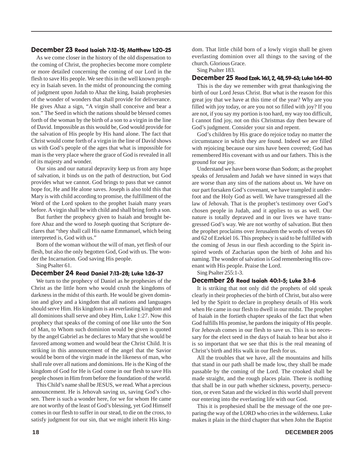#### December 23 Read Isaiah 7:12-15; Matthew 1:20-25

As we come closer in the history of the old dispensation to the coming of Christ, the prophecies become more complete or more detailed concerning the coming of our Lord in the flesh to save His people. We see this in the well known prophecy in Isaiah seven. In the midst of pronouncing the coming of judgment upon Judah to Ahaz the king, Isaiah prophesies of the wonder of wonders that shall provide for deliverance. He gives Ahaz a sign, "A virgin shall conceive and bear a son." The Seed in which the nations should be blessed comes forth of the woman by the birth of a son to a virgin in the line of David. Impossible as this would be, God would provide for the salvation of His people by His hand alone. The fact that Christ would come forth of a virgin in the line of David shows us with God's people of the ages that what is impossible for man is the very place where the grace of God is revealed in all of its majesty and wonder.

Our sins and our natural depravity keep us from any hope of salvation, it binds us on the path of destruction, but God provides what we cannot. God brings to pass that we cannot hope for, He and He alone saves. Joseph is also told this that Mary is with child according to promise, the fulfillment of the Word of the Lord spoken to the prophet Isaiah many years before. A virgin shall be with child and shall bring forth a son.

But further the prophecy given to Isaiah and brought before Ahaz and the word to Joseph quoting that Scripture declares that "they shall call His name Emmanuel, which being interpreted is, God with us."

Born of the woman without the will of man, yet flesh of our flesh, but also the only begotten God, God with us. The wonder the Incarnation. God saving His people.

Sing Psalter 61.

#### December 24 Read Daniel 7:13-28; Luke 1:26-37

We turn to the prophecy of Daniel as he prophesies of the Christ as the little horn who would crush the kingdoms of darkness in the midst of this earth. He would be given dominion and glory and a kingdom that all nations and languages should serve Him. His kingdom is an everlasting kingdom and all dominions shall serve and obey Him, Luke 1:27. Now this prophecy that speaks of the coming of one like unto the Son of Man, to Whom such dominion would be given is quoted by the angel Gabriel as he declares to Mary that she would be favored among women and would bear the Christ Child. It is striking in this announcement of the angel that the Savior would be born of the virgin made in the likeness of man, who shall rule over all nations and dominions. He is the King of the kingdom of God for He is God come in our flesh to save His people chosen in Him from before the foundation of the world.

This Child's name shall be JESUS, we read. What a precious announcement. He is Jehovah saving us, saving God's chosen. There is such a wonder here, for we for whom He came are not worthy of the least of God's blessing, yet God Himself comes in our flesh to suffer in our stead, to die on the cross, to satisfy judgment for our sin, that we might inherit His kingdom. That little child born of a lowly virgin shall be given everlasting dominion over all things to the saving of the church. Glorious Grace.

Sing Psalter 183.

#### December 25 Read Ezek. 16:1, 2, 48, 59-63; Luke 1:64-80

This is the day we remember with great thanksgiving the birth of our Lord Jesus Christ. But what is the reason for this great joy that we have at this time of the year? Why are you filled with joy today, or are you not so filled with joy? If you are not, if you say my portion is too hard, my way too difficult, I cannot find joy, not on this Christmas day then beware of God's judgment. Consider your sin and repent.

God's children by His grace do rejoice today no matter the circumstance in which they are found. Indeed we are filled with rejoicing because our sins have been covered; God has remembered His covenant with us and our fathers. This is the ground for our joy.

Understand we have been worse than Sodom; as the prophet speaks of Jerusalem and Judah we have sinned in ways that are worse than any sins of the nations about us. We have on our part forsaken God's covenant, we have trampled it underfoot and the Holy God as well. We have transgressed all the law of Jehovah. That is the prophet's testimony over God's chosen people in Judah, and it applies to us as well. Our nature is totally depraved and in our lives we have transgressed God's way. We are not worthy of salvation. But then the prophet proclaims over Jerusalem the words of verses 60 and 62 of Ezekiel 16. This prophecy is said to be fulfilled with the coming of Jesus in our flesh according to the Spirit inspired words of Zacharias upon the birth of John and his naming. The wonder of salvation is God remembering His covenant with His people. Praise the Lord.

Sing Psalter 255:1-3.

#### December 26 Read Isaiah 40:1-5; Luke 3:1-6

It is striking that not only did the prophets of old speak clearly in their prophecies of the birth of Christ, but also were led by the Spirit to declare in prophesy details of His work when He came in our flesh to dwell in our midst. The prophet of Isaiah in the fortieth chapter speaks of the fact that when God fulfills His promise, he pardons the iniquity of His people. For Jehovah comes in our flesh to save us. This is so necessary for the elect seed in the days of Isaiah to hear but also it is so important that we see that this is the real meaning of Christ's birth and His walk in our flesh for us.

All the troubles that we have, all the mountains and hills that stand in our path shall be made low, they shall be made passable by the coming of the Lord. The crooked shall be made straight, and the rough places plain. There is nothing that shall be in our path whether sickness, poverty, persecution, or even Satan and the wicked in this world shall prevent our entering into the everlasting life with our God.

This it is prophesied shall be the message of the one preparing the way of the LORD who cries in the wilderness. Luke makes it plain in the third chapter that when John the Baptist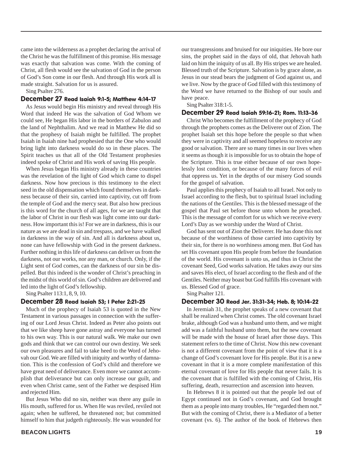came into the wilderness as a prophet declaring the arrival of the Christ he was the fulfillment of this promise. His message was exactly that salvation was come. With the coming of Christ, all flesh would see the salvation of God in the person of God's Son come in our flesh. And through His work all is made straight. Salvation for us is assured.

Sing Psalter 276.

#### December 27 Read Isaiah 9:1-5; Matthew 4:14-17

As Jesus would begin His ministry and reveal through His Word that indeed He was the salvation of God Whom we could see, He began His labor in the borders of Zabulon and the land of Nephthalim. And we read in Matthew He did so that the prophesy of Isaiah might be fulfilled. The prophet Isaiah in Isaiah nine had prophesied that the One who would bring light into darkness would do so in these places. The Spirit teaches us that all of the Old Testament prophesies indeed spoke of Christ and His work of saving His people.

When Jesus began His ministry already in these countries was the revelation of the light of God which came to dispel darkness. Now how precious is this testimony to the elect seed in the old dispensation which found themselves in darkness because of their sin, carried into captivity, cut off from the temple of God and the mercy seat. But also how precious is this word for the church of all ages, for we are taught that the labor of Christ in our flesh was light come into our darkness. How important this is! For we are in darkness, this is our nature as we are dead in sin and trespass, and we have walked in darkness in the way of sin. And all is darkness about us, none can have fellowship with God in the present darkness. Further nothing in this life of darkness can deliver us from the darkness, not our works, nor any man, or church. Only, if the Light sent of God comes, can the darkness of our sin be dispelled. But this indeed is the wonder of Christ's preaching in the midst of this world of sin. God's children are delivered and led into the light of God's fellowship.

Sing Psalter 113:1, 8, 9, 10.

#### December 28 Read Isaiah 53; I Peter 2:21-25

Much of the prophecy of Isaiah 53 is quoted in the New Testament in various passages in connection with the suffering of our Lord Jesus Christ. Indeed as Peter also points out that we like sheep have gone astray and everyone has turned to his own way. This is our natural walk. We make our own gods and think that we can control our own destiny. We seek our own pleasures and fail to take heed to the Word of Jehovah our God. We are filled with iniquity and worthy of damnation. This is the confession of God's child and therefore we have great need of deliverance. Even more we cannot accomplish that deliverance but can only increase our guilt, and even when Christ came, sent of the Father we despised Him and rejected Him.

But Jesus Who did no sin, neither was there any guile in His mouth, suffered for us. When He was reviled, reviled not again; when he suffered, he threatened not; but committed himself to him that judgeth righteously. He was wounded for

our transgressions and bruised for our iniquities. He bore our sins, the prophet said in the days of old, that Jehovah hath laid on him the iniquity of us all. By His stripes we are healed. Blessed truth of the Scripture. Salvation is by grace alone, as Jesus in our stead bears the judgment of God against us, and we live. Now by the grace of God filled with this testimony of the Word we have returned to the Bishop of our souls and have peace.

#### Sing Psalter 318:1-5.

#### December 29 Read Isaiah 59:16-21; Rom. 11:13-36

Christ Who becomes the fulfillment of the prophecy of God through the prophets comes as the Deliverer out of Zion. The prophet Isaiah set this hope before the people so that when they were in captivity and all seemed hopeless to receive any good or salvation. There are so many times in our lives when it seems as though it is impossible for us to obtain the hope of the Scripture. This is true either because of our own hopelessly lost condition, or because of the many forces of evil that oppress us. Yet in the depths of our misery God sounds for the gospel of salvation.

Paul applies this prophecy of Isaiah to all Israel. Not only to Israel according to the flesh, but to spiritual Israel including the nations of the Gentiles. This is the blessed message of the gospel that Paul set before those unto whom he preached. This is the message of comfort for us which we receive every Lord's Day as we worship under the Word of Christ.

God has sent out of Zion the Deliverer. He has done this not because of the worthiness of those carried into captivity by their sin, for there is no worthiness among men. But God has set His covenant upon His people from before the foundation of the world. His covenant is unto us, and thus in Christ the covenant Seed, God works salvation. He takes away our sins and saves His elect, of Israel according to the flesh and of the Gentiles. Neither may boast but God fulfills His covenant with us. Blessed God of grace.

Sing Psalter 121.

#### December 30 Read Jer. 31:31-34; Heb. 8; 10:14-22

In Jeremiah 31, the prophet speaks of a new covenant that shall be realized when Christ comes. The old covenant Israel brake, although God was a husband unto them, and we might add was a faithful husband unto them, but the new covenant will be made with the house of Israel after those days. This statement refers to the time of Christ. Now this new covenant is not a different covenant from the point of view that it is a change of God's covenant love for His people. But it is a new covenant in that it is a more complete manifestation of this eternal covenant of love for His people that never fails. It is the covenant that is fulfilled with the coming of Christ, His suffering, death, resurrection and ascension into heaven.

In Hebrews 8 it is pointed out that the people led out of Egypt continued not in God's covenant, and God brought them as a people into many troubles, He "regarded them not." But with the coming of Christ, there is a Mediator of a better covenant (vs. 6). The author of the book of Hebrews then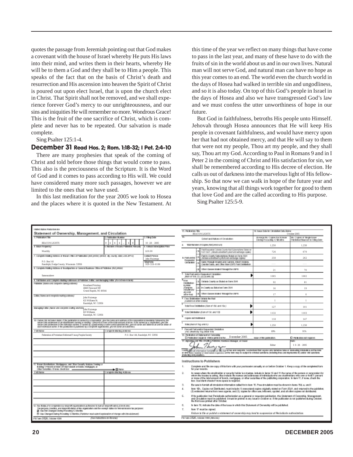quotes the passage from Jeremiah pointing out that God makes a covenant with the house of Israel whereby He puts His laws into their mind, and writes them in their hearts, whereby He will be to them a God and they shall be to Him a people. This speaks of the fact that on the basis of Christ's death and resurrection and His ascension into heaven the Spirit of Christ is poured out upon elect Israel, that is upon the church elect in Christ. That Spirit shall not be removed, and we shall experience forever God's mercy to our unrighteousness, and our sins and iniquities He will remember no more. Wondrous Grace! This is the fruit of the one sacrifice of Christ, which is complete and never has to be repeated. Our salvation is made complete.

#### Sing Psalter 125:1-4.

#### December 31 Read Hos. 2; Rom. 1:18-32; I Pet. 2:4-10

There are many prophesies that speak of the coming of Christ and told before those things that would come to pass. This also is the preciousness of the Scripture. It is the Word of God and it comes to pass according to His will. We could have considered many more such passages, however we are limited to the ones that we have used.

In this last meditation for the year 2005 we look to Hosea and the places where it is quoted in the New Testament. At this time of the year we reflect on many things that have come to pass in the last year, and many of these have to do with the fruits of sin in the world about us and in our own lives. Natural man will not serve God, and natural man can have no hope as this year comes to an end. The world even the church world in the days of Hosea had walked in terrible sin and ungodliness, and so it is also today. On top of this God's people in Israel in the days of Hosea and also we have transgressed God's law and we must confess the utter unworthiness of hope in our future.

But God in faithfulness, betroths His people unto Himself. Jehovah through Hosea announces that He will keep His people in covenant faithfulness, and would have mercy upon her that had not obtained mercy, and that He will say to them that were not my people, Thou art my people, and they shall say, Thou art my God. According to Paul in Romans 9 and in I Peter 2 in the coming of Christ and His satisfaction for sin, we shall be remembered according to His decree of election. He calls us out of darkness into the marvelous light of His fellowship. So that now we can walk in hope of the future year and years, knowing that all things work together for good to them that love God and are the called according to His purpose.

Sing Psalter 125:5-9.

| United States Ford at hory on                                                                                                                                                                                                                                                                                                                                                                |                                                                                                                                                    |                                  |                                                                                                                                                                                                                                                                                                                                  |  |                                                                                                                                      |                                                          |                                      |
|----------------------------------------------------------------------------------------------------------------------------------------------------------------------------------------------------------------------------------------------------------------------------------------------------------------------------------------------------------------------------------------------|----------------------------------------------------------------------------------------------------------------------------------------------------|----------------------------------|----------------------------------------------------------------------------------------------------------------------------------------------------------------------------------------------------------------------------------------------------------------------------------------------------------------------------------|--|--------------------------------------------------------------------------------------------------------------------------------------|----------------------------------------------------------|--------------------------------------|
| Statement of Ownership, Management, and Circulation                                                                                                                                                                                                                                                                                                                                          |                                                                                                                                                    |                                  | 13. Pat-korkon Tille<br><b>BEACONLIGHTS</b>                                                                                                                                                                                                                                                                                      |  |                                                                                                                                      | 14. Issue Dole for Crestoller Data Bolcu<br>October 2005 |                                      |
| 1. Pablication Fille<br>I. Pakificaliers & milion<br>1. Filmaa Dode                                                                                                                                                                                                                                                                                                                          |                                                                                                                                                    |                                  |                                                                                                                                                                                                                                                                                                                                  |  |                                                                                                                                      | Вумарник, сорня вась наше                                | <b>His. Copies of the giv banner</b> |
|                                                                                                                                                                                                                                                                                                                                                                                              |                                                                                                                                                    |                                  |                                                                                                                                                                                                                                                                                                                                  |  | Extent and Halunged Circulation                                                                                                      | Dering Preceding 12 Months                               | Patchbool Means of to Films Dote     |
| <b>BEACONLIGHTS</b><br>4. Blue Hispanicy                                                                                                                                                                                                                                                                                                                                                     | $\theta$<br>6<br>$10 - 28 - 2005$<br>  4<br>$\overline{4}$<br>$\theta$<br><b>Standard of Assessment Avenue</b><br><b>A Contract Contract Enter</b> |                                  | Total Plansber of Ecopars (Parkpress surg.<br>а.                                                                                                                                                                                                                                                                                 |  | 1.250                                                                                                                                | 1.250                                                    |                                      |
| Monthly                                                                                                                                                                                                                                                                                                                                                                                      |                                                                                                                                                    | \$10.00                          |                                                                                                                                                                                                                                                                                                                                  |  | Patt Requested Outside County Net Subscriptions Edulorical<br>GIRODA HIZININ DINA TUNANG KOMA KANG ALIKU MASA TILIPIN ING PITULA     | 726                                                      | 670                                  |
| 7. Complete trading econess of inform office at Palaticalian (Will profess private ally county, state and 2014).                                                                                                                                                                                                                                                                             |                                                                                                                                                    | Califord Prence<br>John Huizenga | <b>K. Paid and an</b><br>Rogmalet<br>CREATING                                                                                                                                                                                                                                                                                    |  | Paid ins County Sabscriptions Skaled on Farm 1541<br>(include a draftbar's print and entityings copies).                             | 258                                                      | 262                                  |
| P.O. Box 141<br>Randolph, Dodge County, Wisconsin 53956                                                                                                                                                                                                                                                                                                                                      |                                                                                                                                                    | lalapiyyaa<br>920-326-6186       |                                                                                                                                                                                                                                                                                                                                  |  | Sales Trimod's Dealers and Call Eds. Stilled Vendos,<br>Counter Sales, and Other New USPS Paid Distribution                          |                                                          |                                      |
| 1. Complete History Address of Boothparters or General Business Office of Publisher (Not printed                                                                                                                                                                                                                                                                                             |                                                                                                                                                    |                                  |                                                                                                                                                                                                                                                                                                                                  |  | other classes Maked fricage the USPS.                                                                                                | 21                                                       | 70                                   |
| Same as above                                                                                                                                                                                                                                                                                                                                                                                |                                                                                                                                                    |                                  | F. Total Prakt and Av Parpscaked Citcatalism<br>Blue at M& (1), co.co.and (4)                                                                                                                                                                                                                                                    |  |                                                                                                                                      | 1005                                                     | 1002                                 |
| 1. Tel famos and computer Many Microscopt Englished Library and Manager Library According to the<br>Publisher /Maticulat coopede carroguisboss/                                                                                                                                                                                                                                              |                                                                                                                                                    |                                  | $a_{\rm{FDM}}$<br>Distribution                                                                                                                                                                                                                                                                                                   |  | Oshakdo-County on Shaked cry Form 1544                                                                                               | 92                                                       | 81                                   |
| <b>Riverbend Printing</b><br>4668 Fenwood SW<br>Grand Rapids, MI 49544                                                                                                                                                                                                                                                                                                                       |                                                                                                                                                    |                                  | Eylend<br><b>Bargian</b><br>completes and                                                                                                                                                                                                                                                                                        |  | Inv County as Stated on Farms 3641                                                                                                   | 16                                                       | 19                                   |
| Editor (Manscure) complete matting address/                                                                                                                                                                                                                                                                                                                                                  |                                                                                                                                                    |                                  | ary and<br>other than                                                                                                                                                                                                                                                                                                            |  | other classes Maked Though the USPS.                                                                                                 | 17                                                       | $\theta$                             |
| John Huizenga<br>621 Williams St.<br>Randolph, WI 53956                                                                                                                                                                                                                                                                                                                                      |                                                                                                                                                    |                                  | <sup>8</sup> . Faso Bishkadian Oskakda tha Hitali<br>(Cardon) at OTher Creator                                                                                                                                                                                                                                                   |  |                                                                                                                                      | $\mathbf{I}$                                             | $\mathbf{1}$                         |
| Managing Editor (Netherland complete cluding addition) John Huizenga                                                                                                                                                                                                                                                                                                                         |                                                                                                                                                    |                                  | Total From Ottehbulkers (Sam of 1981, and Allie )                                                                                                                                                                                                                                                                                |  |                                                                                                                                      | 127                                                      | 101                                  |
| 621 Williams<br>Randolph, WI 53956                                                                                                                                                                                                                                                                                                                                                           |                                                                                                                                                    |                                  | Total Diskribations (Signs of 1 Security) 1 St                                                                                                                                                                                                                                                                                   |  |                                                                                                                                      | 1132                                                     | 1103                                 |
| TO, Dariet (SD-RK'make-Statis, if 2te publication is surrectly a responsion) give for curre-and address stiffer responsible transvession transvession for                                                                                                                                                                                                                                    |                                                                                                                                                    |                                  | CODES BUTTINING AND                                                                                                                                                                                                                                                                                                              |  |                                                                                                                                      | 118                                                      | 147                                  |
| taces and actesses of an ducknows surery of hinding 1 festival in true at the CAM accurd of street. If for surest by a surprising genThe<br>SECRIC AND ACORAINS OF THE CORASLES SERIES. IT SERIES OF A SECONDATION CONSCIOUSNOSS INC., JUVE AS CERIA AND ASSISTANCE AN AVE AS ISSUE AT<br>eaconcentum nume: it the putmatum m putmons by a donjects argulautum, geneticiams acid addivisi, i |                                                                                                                                                    |                                  | total place of 7kg and 0.1                                                                                                                                                                                                                                                                                                       |  |                                                                                                                                      | 1,250                                                    | 1,250                                |
| Complete Mai Blv3-5/30 year<br>F HI Hane                                                                                                                                                                                                                                                                                                                                                     |                                                                                                                                                    |                                  | 1 Parcent Pairi anglor Repuested Circulation<br>FAC CHARGES' Mill Brint TOW                                                                                                                                                                                                                                                      |  |                                                                                                                                      | 89%                                                      | 91%                                  |
| Federation of Protestant Reformed Young Peoples Society<br>P.O. Box 144, Randolph, WI 53956                                                                                                                                                                                                                                                                                                  |                                                                                                                                                    |                                  | 10. Pablication of Statement of Ownership<br>El Particulare repaired Visito particulares December 2005<br>loose of this patientificity<br><b>El PADAGEGO INFIRANCIA</b><br>11. Sprakersman Barol in the Patricket Sprakers Editorial at Chang<br><b>TELES</b>                                                                    |  |                                                                                                                                      |                                                          |                                      |
|                                                                                                                                                                                                                                                                                                                                                                                              |                                                                                                                                                    |                                  | الشكاف                                                                                                                                                                                                                                                                                                                           |  |                                                                                                                                      | Editor                                                   | $10-28-2005$                         |
|                                                                                                                                                                                                                                                                                                                                                                                              |                                                                                                                                                    |                                  |                                                                                                                                                                                                                                                                                                                                  |  |                                                                                                                                      |                                                          |                                      |
|                                                                                                                                                                                                                                                                                                                                                                                              |                                                                                                                                                    |                                  | TOPTI AND all interestion turnings on this part film and computer and constant that asymmetric turners take or meanwhile promotion on the time<br>In 1892 Time receive or meanwhile requires on the later may boudged in criminal<br>drawaria sivi pesuitero.                                                                    |  |                                                                                                                                      |                                                          |                                      |
| <b>Instructions to Publishers</b>                                                                                                                                                                                                                                                                                                                                                            |                                                                                                                                                    |                                  |                                                                                                                                                                                                                                                                                                                                  |  |                                                                                                                                      |                                                          |                                      |
| 11. Regars Bornholdurs, Morigaguus, and Olean Sacadty Bolclans Craning on<br>Botting 1 Percent at trace of folial Amount of Europa, Ethiopians, or<br>Other Socurtics, Fricas, checkbox _____<br>de ⊡inse                                                                                                                                                                                    |                                                                                                                                                    |                                  | Conglete and file one copy of this form with your past moster annually an or before October 1. Keep a copy of the campleted form<br>۹.<br>for your records.                                                                                                                                                                      |  |                                                                                                                                      |                                                          |                                      |
| F 88 Harts<br>Corapida Maling Ackbron                                                                                                                                                                                                                                                                                                                                                        |                                                                                                                                                    |                                  |                                                                                                                                                                                                                                                                                                                                  |  | is cases where the stockholder or security holder is a trustee, induste in items 16 and 11 the name of the person or corporation for |                                                          |                                      |
|                                                                                                                                                                                                                                                                                                                                                                                              |                                                                                                                                                    |                                  | ż.<br>abors the trastee is acting. Also include the names and addresses of individuals who are stackholders who can or hold 1 percent<br>ar more of the tatal amount of bords, ramigages, or after securities of the pablishing corporation. In tiera 11, if none, check the<br>box. Use blank sheets if more space is required. |  |                                                                                                                                      |                                                          |                                      |
|                                                                                                                                                                                                                                                                                                                                                                                              |                                                                                                                                                    |                                  | B.<br>Se sare to fundet all directation information called for in item 'E. Presiding, direction must be shown in items 'Ed, a, and t                                                                                                                                                                                             |  |                                                                                                                                      |                                                          |                                      |
|                                                                                                                                                                                                                                                                                                                                                                                              |                                                                                                                                                    |                                  | ă.<br>teer 19h., Explorant Distributed, nuat include (1) severatund copies calginally stated on Form 36d1, and returned to the publishes,                                                                                                                                                                                        |  |                                                                                                                                      |                                                          |                                      |
|                                                                                                                                                                                                                                                                                                                                                                                              |                                                                                                                                                    |                                  |                                                                                                                                                                                                                                                                                                                                  |  | (2) estimated returns from news agents, and (2) sopies for office use, leftowns, spoiled, and all other copies nat distributed.      |                                                          |                                      |
|                                                                                                                                                                                                                                                                                                                                                                                              |                                                                                                                                                    |                                  | s.<br>little-publication had Periodicals authorization as a general or requester publication, this Statement of Ownership, Massagement,<br>and Cinculation must be pablished: it must be printed in any issue in October at if the publication is not published during Ostober.<br>the first issue printed after October.        |  |                                                                                                                                      |                                                          |                                      |
| 13. Tax Malas prencorgandancy response agreeated authorized to suarant response using yoperaceans)                                                                                                                                                                                                                                                                                           |                                                                                                                                                    |                                  | e,<br>In then 18, indicate the claim of the issue in which this Statement of Cernership will be pablished.                                                                                                                                                                                                                       |  |                                                                                                                                      |                                                          |                                      |
| The parpose, Kastico, and magnetic stake, at his organization and the exempt status for telesal mounte tax parposes:                                                                                                                                                                                                                                                                         |                                                                                                                                                    |                                  | т.<br>hem 17 mustice signed.                                                                                                                                                                                                                                                                                                     |  |                                                                                                                                      |                                                          |                                      |
| 29 Has Hel Churcout Dentro Precedence 12 Months<br>D Has Changed Daing Proceding 12 Martte, (Pablisher read subtrit exploration of disinger refit it is abilament)                                                                                                                                                                                                                           |                                                                                                                                                    |                                  | Foldere to the or publish a statement of connecting may hard to suspension of Periodicals suthorization.                                                                                                                                                                                                                         |  |                                                                                                                                      |                                                          |                                      |
| (Sanchartana an Amaran)<br>PS Famy 3526, Oclobar 1008                                                                                                                                                                                                                                                                                                                                        |                                                                                                                                                    |                                  | Ратчат 3526, скрам там дамных                                                                                                                                                                                                                                                                                                    |  |                                                                                                                                      |                                                          |                                      |
|                                                                                                                                                                                                                                                                                                                                                                                              |                                                                                                                                                    |                                  |                                                                                                                                                                                                                                                                                                                                  |  |                                                                                                                                      |                                                          |                                      |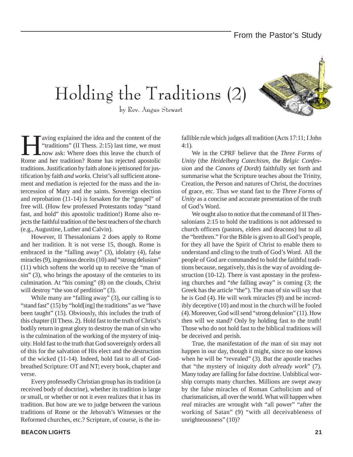Holding the Traditions (2)



by Rev. Angus Stewart

Example 1 aving explained the idea and the content of the<br>
"traditions" (II Thess. 2:15) last time, we must<br>
now ask: Where does this leave the church of<br>
Rome and her tradition? Rome has rejected apostolic "traditions" (II Thess. 2:15) last time, we must now ask: Where does this leave the church of Rome and her tradition? Rome has rejected apostolic traditions. Justification by faith alone is jettisoned for justification by faith *and works*. Christ's all sufficient atonement and mediation is rejected for the mass and the intercession of Mary and the saints. Sovereign election and reprobation (11-14) is forsaken for the "gospel" of free will. (How few professed Protestants today "stand fast, and hold" this apostolic tradition!) Rome also rejects the faithful tradition of the best teachers of the church (e.g., Augustine, Luther and Calvin).

However, II Thessalonians 2 does apply to Rome and her tradition. It is not verse 15, though. Rome is embraced in the "falling away" (3), idolatry (4), false miracles (9), ingenious deceits (10) and "strong delusion" (11) which softens the world up to receive the "man of sin" (3), who brings the apostasy of the centuries to its culmination. At "his coming" (8) on the clouds, Christ will destroy "the son of perdition" (3).

While many are "falling away" (3), our calling is to "stand fast" (15) by "hold[ing] the traditions" as we "have been taught" (15). Obviously, this includes the truth of this chapter (II Thess. 2). Hold fast to the truth of Christ's bodily return in great glory to destroy the man of sin who is the culmination of the working of the mystery of iniquity. Hold fast to the truth that God sovereignly orders all of this for the salvation of His elect and the destruction of the wicked (11-14). Indeed, hold fast to all of Godbreathed Scripture: OT and NT; every book, chapter and verse.

Every professedly Christian group has its tradition (a received body of doctrine), whether its tradition is large or small, or whether or not it even realizes that it has its tradition. But how are we to judge between the various traditions of Rome or the Jehovah's Witnesses or the Reformed churches, etc.? Scripture, of course, is the infallible rule which judges all tradition (Acts 17:11; I John 4:1).

We in the CPRF believe that the *Three Forms of Unity* (the *Heidelberg Catechism*, the *Belgic Confession* and the *Canons of Dordt*) faithfully set forth and summarise what the Scripture teaches about the Trinity, Creation, the Person and natures of Christ, the doctrines of grace, etc. Thus we stand fast to the *Three Forms of Unity* as a concise and accurate presentation of the truth of God's Word.

We ought also to notice that the command of II Thessalonians 2:15 to hold the traditions is not addressed to church officers (pastors, elders and deacons) but to all the "brethren." For the Bible is given to all God's people, for they all have the Spirit of Christ to enable them to understand and cling to the truth of God's Word. All the people of God are commanded to hold the faithful traditions because, negatively, this is the way of avoiding destruction (10-12). There is vast apostasy in the professing churches and "*the* falling away" is coming (3; the Greek has the article "the"). The man of sin will say that he is God (4). He will work miracles (9) and be incredibly deceptive (10) and most in the church will be fooled (4). Moreover, God will send "strong delusion" (11). How then will we stand? Only by holding fast to the truth! Those who do not hold fast to the biblical traditions will be deceived and perish.

True, the manifestation of *the* man of sin may not happen in our day, though it might, since no one knows when he will be "revealed" (3). But the apostle teaches that "the mystery of iniquity *doth already work*" (7). Many today are falling for false doctrine. Unbiblical worship corrupts many churches. Millions are swept away by the false miracles of Roman Catholicism and of charismaticism, all over the world. What will happen when *real* miracles are wrought with "all power" "after the working of Satan" (9) "with all deceivableness of unrighteousness" (10)?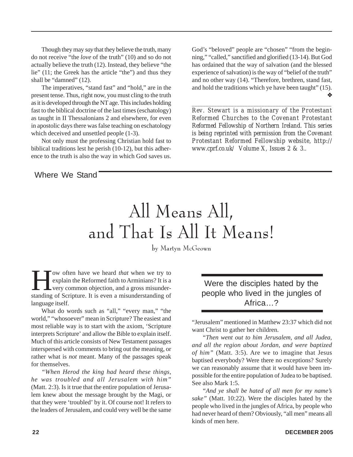Though they may *say* that they believe the truth, many do not receive "the *love* of the truth" (10) and so do not actually believe the truth (12). Instead, they believe "the lie" (11; the Greek has the article "the") and thus they shall be "damned" (12).

The imperatives, "stand fast" and "hold," are in the present tense. Thus, right now, you must cling to the truth as it is developed through the NT age. This includes holding fast to the biblical doctrine of the last times (eschatology) as taught in II Thessalonians 2 and elsewhere, for even in apostolic days there was false teaching on eschatology which deceived and unsettled people  $(1-3)$ .

Not only must the professing Christian hold fast to biblical traditions lest he perish (10-12), but this adherence to the truth is also the way in which God saves us. God's "beloved" people are "chosen" "from the beginning," "called," sanctified and glorified (13-14). But God has ordained that the way of salvation (and the blessed experience of salvation) is the way of "belief of the truth" and no other way (14). "Therefore, brethren, stand fast, and hold the traditions which ye have been taught" (15). ❖

*\_\_\_\_\_\_\_\_\_\_\_\_\_\_\_\_\_\_\_\_\_\_\_\_\_\_\_\_\_\_\_\_\_\_\_\_\_\_\_\_\_\_\_\_\_\_\_\_\_\_ Rev. Stewart is a missionary of the Protestant Reformed Churches to the Covenant Protestant Reformed Fellowship of Northern Ireland. This series is being reprinted with permission from the Covenant Protestant Reformed Fellowship website, http:// www.cprf.co.uk/ Volume X, Issues 2 & 3..*

Where We Stand

## All Means All, and That Is All It Means!

by Martyn McGeown

**How often have we heard** *that* **when we try to**<br>explain the Reformed faith to Arminians? It is a<br>very common objection, and a gross misunder-<br>standing of Scripture. It is even a misunderstanding of explain the Reformed faith to Arminians? It is a **L** very common objection, and a gross misunderstanding of Scripture. It is even a misunderstanding of language itself.

What do words such as "all," "every man," "the world," "whosoever" mean in Scripture? The easiest and most reliable way is to start with the axiom, 'Scripture interprets Scripture' and allow the Bible to explain itself. Much of this article consists of New Testament passages interspersed with comments to bring out the meaning, or rather what is *not* meant. Many of the passages speak for themselves.

*"When Herod the king had heard these things, he was troubled and all Jerusalem with him"* (Matt. 2:3). Is it true that the entire population of Jerusalem knew about the message brought by the Magi, or that they were 'troubled' by it. Of course not! It refers to the leaders of Jerusalem, and could very well be the same

Were the disciples hated by the people who lived in the jungles of Africa<sub>2</sub>

"Jerusalem" mentioned in Matthew 23:37 which did not want Christ to gather her children.

*"Then went out to him Jerusalem, and all Judea, and all the region about Jordan, and were baptized of him"* (Matt. 3:5). Are we to imagine that Jesus baptised everybody? Were there no exceptions? Surely we can reasonably assume that it would have been impossible for the entire population of Judea to be baptised. See also Mark 1:5.

*"And ye shall be hated of all men for my name's sake"* (Matt. 10:22). Were the disciples hated by the people who lived in the jungles of Africa, by people who had never heard of them? Obviously, "all men" means all kinds of men here.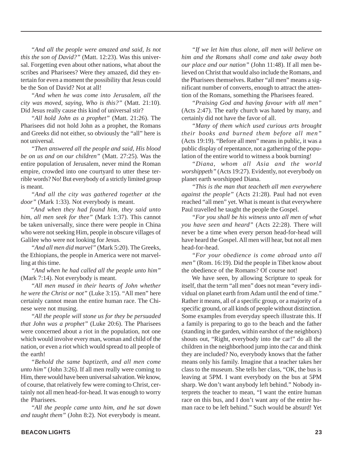*"And all the people were amazed and said, Is not this the son of David?"* (Matt. 12:23). Was this universal. Forgetting even about other nations, what about the scribes and Pharisees? Were they amazed, did they entertain for even a moment the possibility that Jesus could be the Son of David? Not at all!

*"And when he was come into Jerusalem, all the city was moved, saying, Who is this?"* (Matt. 21:10). Did Jesus really cause this kind of universal stir?

*"All hold John as a prophet"* (Matt. 21:26). The Pharisees did not hold John as a prophet, the Romans and Greeks did not either, so obviously the "all" here is not universal.

*"Then answered all the people and said, His blood be on us and on our children"* (Matt. 27:25). Was the entire population of Jerusalem, never mind the Roman empire, crowded into one courtyard to utter these terrible words? No! But everybody of a strictly limited group is meant.

*"And all the city was gathered together at the door"* (Mark 1:33). Not everybody is meant.

"*And when they had found him, they said unto him, all men seek for thee"* (Mark 1:37). This cannot be taken universally, since there were people in China who were not seeking Him, people in obscure villages of Galilee who were not looking for Jesus.

*"And all men did marvel"* (Mark 5:20). The Greeks, the Ethiopians, the people in America were not marvelling at this time.

*"And when he had called all the people unto him"* (Mark 7:14). Not everybody is meant.

*"All men mused in their hearts of John whether he were the Christ or not"* (Luke 3:15). "All men" here certainly cannot mean the entire human race. The Chinese were not musing.

*"All the people will stone us for they be persuaded that John was a prophet"* (Luke 20:6). The Pharisees were concerned about a riot in the population, not one which would involve every man, woman and child of the nation, or even a riot which would spread to all people of the earth!

*"Behold the same baptizeth, and all men come unto him"* (John 3:26). If all men really were coming to Him, there would have been universal salvation. We know, of course, that relatively few were coming to Christ, certainly not all men head-for-head. It was enough to worry the Pharisees.

*"All the people came unto him, and he sat down and taught them"* (John 8:2). Not everybody is meant.

*"If we let him thus alone, all men will believe on him and the Romans shall come and take away both our place and our nation"* (John 11:48). If all men believed on Christ that would also include the Romans, and the Pharisees themselves. Rather "all men" means a significant number of converts, enough to attract the attention of the Romans, something the Pharisees feared.

*"Praising God and having favour with all men"* (Acts 2:47). The early church was hated by many, and certainly did not have the favor of all.

*"Many of them which used curious arts brought their books and burned them before all men"* (Acts 19:19). "Before all men" means in public, it was a public display of repentance, not a gathering of the population of the entire world to witness a book burning!

*"Diana, whom all Asia and the world worshippeth"* (Acts 19:27). Evidently, not everybody on planet earth worshipped Diana.

*"This is the man that teacheth all men everywhere against the people"* (Acts 21:28). Paul had not even reached "all men" yet. What is meant is that everywhere Paul travelled he taught the people the Gospel.

*"For you shall be his witness unto all men of what you have seen and heard"* (Acts 22:28). There will never be a time when every person head-for-head will have heard the Gospel. All men will hear, but not all men head-for-head.

*"For your obedience is come abroad unto all men"* (Rom. 16:19). Did the people in Tibet know about the obedience of the Romans? Of course not!

We have seen, by allowing Scripture to speak for itself, that the term "all men" does not mean "every individual on planet earth from Adam until the end of time." Rather it means, all of a specific group, or a majority of a specific ground, or all kinds of people without distinction. Some examples from everyday speech illustrate this. If a family is preparing to go to the beach and the father (standing in the garden, within earshot of the neighbors) shouts out, "Right, everybody into the car!" do all the children in the neighborhood jump into the car and think they are included? No, everybody knows that the father means only his family. Imagine that a teacher takes her class to the museum. She tells her class, "OK, the bus is leaving at 5PM. I want everybody on the bus at 5PM sharp. We don't want anybody left behind." Nobody interprets the teacher to mean, "I want the entire human race on this bus, and I don't want any of the entire human race to be left behind." Such would be absurd! Yet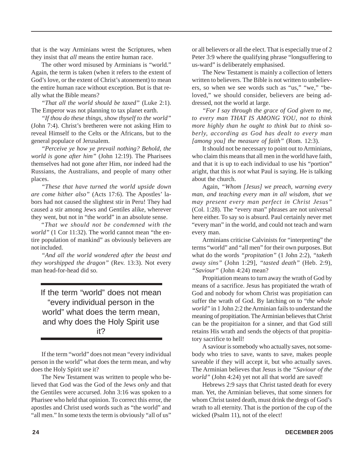that is the way Arminians wrest the Scriptures, when they insist that *all* means the entire human race.

The other word misused by Arminians is "world." Again, the term is taken (when it refers to the extent of God's love, or the extent of Christ's atonement) to mean the entire human race without exception. But is that really what the Bible means?

*"That all the world should be taxed"* (Luke 2:1). The Emperor was not planning to tax planet earth.

*"If thou do these things, show thyself to the world"* (John 7:4). Christ's bretheren were not asking Him to reveal Himself to the Celts or the Africans, but to the general populace of Jerusalem.

*"Perceive ye how ye prevail nothing? Behold, the world is gone after him"* (John 12:19). The Pharisees themselves had not gone after Him, nor indeed had the Russians, the Australians, and people of many other places.

*"These that have turned the world upside down are come hither also"* (Acts 17:6). The Apostles' labors had not caused the slightest stir in Peru! They had caused a stir among Jews and Gentiles alike, wherever they went, but not in "the world" in an absolute sense.

"*That we should not be condemned with the world"* (1 Cor 11:32). The world cannot mean "the entire population of mankind" as obviously believers are not included.

*"And all the world wondered after the beast and they worshipped the dragon"* (Rev. 13:3). Not every man head-for-head did so.

If the term "world" does not mean "every individual person in the world" what does the term mean, and why does the Holy Spirit use it?

If the term "world" does not mean "every individual person in the world" what does the term mean, and why does the Holy Spirit use it?

The New Testament was written to people who believed that God was the God of the Jews *only* and that the Gentiles were accursed. John 3:16 was spoken to a Pharisee who held that opinion. To correct this error, the apostles and Christ used words such as "the world" and "all men." In some texts the term is obviously "all of us"

or all believers or all the elect. That is especially true of 2 Peter 3:9 where the qualifying phrase "longsuffering to us-ward" is deliberately emphasised.

The New Testament is mainly a collection of letters written to believers. The Bible is not written to unbelievers, so when we see words such as "us," "we," "beloved," we should consider, believers are being addressed, not the world at large.

*"For I say through the grace of God given to me, to every man THAT IS AMONG YOU, not to think more highly than he ought to think but to think soberly, according as God has dealt to every man [among you] the measure of faith"* (Rom. 12:3).

It should not be necessary to point out to Arminians, who claim this means that all men in the world have faith, and that it is up to each individual to use his "portion" aright, that this is *not* what Paul is saying. He is talking about the church.

Again, *"Whom [Jesus] we preach, warning every man, and teaching every man in all wisdom, that we may present every man perfect in Christ Jesus"* (Col. 1:28). The "every man" phrases are not universal here either. To say so is absurd. Paul certainly never met "every man" in the world, and could not teach and warn every man.

Arminians criticise Calvinists for "interpreting" the terms "world" and "all men" for their own purposes. But what do the words *"propitation"* (1 John 2:2), *"taketh away sins"* (John 1:29], *"tasted death"* (Heb. 2:9), *"Saviour"* (John 4:24) mean?

Propitiation means to turn away the wrath of God by means of a sacrifice. Jesus has propitiated the wrath of God and nobody for whom Christ was propitiation can suffer the wrath of God. By latching on to "*the whole world"* in 1 John 2:2 the Arminian fails to understand the meaning of propitiation. The Arminian believes that Christ can be the propitiaiton for a sinner, and that God still retains His wrath and sends the objects of that propitiatory sacrifice to hell!

A saviour is somebody who actually saves, not somebody who tries to save, wants to save, makes people saveable if they will accept it, but who actually saves. The Arminian believes that Jesus is the *"Saviour of the world"* (John 4:24) yet not all that world are saved!

Hebrews 2:9 says that Christ tasted death for every man. Yet, the Arminian believes, that some sinners for whom Christ tasted death, must drink the dregs of God's wrath to all eternity. That is the portion of the cup of the wicked (Psalm 11), not of the elect!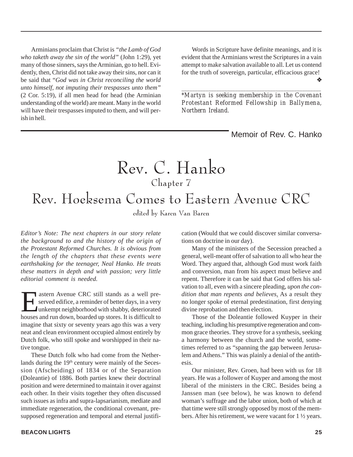Arminians proclaim that Christ is *"the Lamb of God who taketh away the sin of the world"* (John 1:29), yet many of those sinners, says the Arminian, go to hell. Evidently, then, Christ did not take away their sins, nor can it be said that "*God was in Christ reconciling the world unto himself, not imputing their trespasses unto them"* (2 Cor. 5:19), if all men head for head (the Arminian understanding of the world) are meant. Many in the world will have their trespasses imputed to them, and will perish in hell.

Words in Scripture have definite meanings, and it is evident that the Arminians wrest the Scriptures in a vain attempt to make salvation available to all. Let us contend for the truth of sovereign, particular, efficacious grace! ❖

*\*Martyn is seeking membership in the Covenant Protestant Reformed Fellowship in Ballymena, Northern Ireland.*

*\_\_\_\_\_\_\_\_\_\_\_\_\_\_\_\_\_\_\_\_\_\_\_\_\_\_\_\_\_\_\_\_\_\_\_\_\_\_\_\_\_\_\_\_\_\_\_\_\_\_\_\_*

#### Memoir of Rev. C. Hanko

## Rev. C. Hanko Chapter 7 Rev. Hoeksema Comes to Eastern Avenue CRC

edited by Karen Van Baren

*Editor's Note: The next chapters in our story relate the background to and the history of the origin of the Protestant Reformed Churches. It is obvious from the length of the chapters that these events were earthshaking for the teenager, Neal Hanko. He treats these matters in depth and with passion; very little editorial comment is needed.*

Eastern Avenue CRC still stands as a well pre-<br>
served edifice, a reminder of better days, in a very<br>
unkempt neighborhood with shabby, deteriorated<br>
houses and run down, boarded un stores. It is difficult to served edifice, a reminder of better days, in a very unkempt neighborhood with shabby, deteriorated houses and run down, boarded up stores. It is difficult to imagine that sixty or seventy years ago this was a very neat and clean environment occupied almost entirely by Dutch folk, who still spoke and worshipped in their native tongue.

These Dutch folk who had come from the Netherlands during the 19th century were mainly of the Secession (Afscheiding) of 1834 or of the Separation (Doleantie) of 1886. Both parties knew their doctrinal position and were determined to maintain it over against each other. In their visits together they often discussed such issues as infra and supra-lapsarianism, mediate and immediate regeneration, the conditional covenant, presupposed regeneration and temporal and eternal justification (Would that we could discover similar conversations on doctrine in our day).

Many of the ministers of the Secession preached a general, well-meant offer of salvation to all who hear the Word. They argued that, although God must work faith and conversion, man from his aspect must believe and repent. Therefore it can be said that God offers his salvation to all, even with a sincere pleading, *upon the condition that man repents and believes*. As a result they no longer spoke of eternal predestination, first denying divine reprobation and then election.

Those of the Doleantie followed Kuyper in their teaching, including his presumptive regeneration and common grace theories. They strove for a synthesis, seeking a harmony between the church and the world, sometimes referred to as "spanning the gap between Jerusalem and Athens." This was plainly a denial of the antithesis.

Our minister, Rev. Groen, had been with us for 18 years. He was a follower of Kuyper and among the most liberal of the ministers in the CRC. Besides being a Janssen man (see below), he was known to defend woman's suffrage and the labor union, both of which at that time were still strongly opposed by most of the members. After his retirement, we were vacant for 1 ½ years.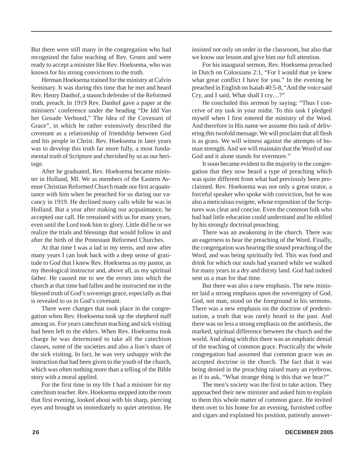But there were still many in the congregation who had recognized the false teaching of Rev. Groen and were ready to accept a minister like Rev. Hoeksema, who was known for his strong convictions to the truth.

Herman Hoeksema trained for the ministry at Calvin Seminary. It was during this time that he met and heard Rev. Henry Danhof, a staunch defender of the Reformed truth, preach. In 1919 Rev. Danhof gave a paper at the ministers' conference under the heading "De Idd Van het Genade Verbond," The Idea of the Covenant of Grace", in which he rather extensively described the covenant as a relationship of friendship between God and his people in Christ. Rev. Hoeksema in later years was to develop this truth far more fully, a most fundamental truth of Scripture and cherished by us as our heritage.

After he graduated, Rev. Hoeksema became minister in Holland, MI. We as members of the Eastern Avenue Christian Reformed Church made our first acquaintance with him when he preached for us during our vacancy in 1919. He declined many calls while he was in Holland. But a year after making our acquaintance, he accepted our call. He remained with us for many years, even until the Lord took him to glory. Little did he or we realize the trials and blessings that would follow in and after the birth of the Protestant Reformed Churches.

At that time I was a lad in my teens, and now after many years I can look back with a deep sense of gratitude to God that I knew Rev. Hoeksema as my pastor, as my theological instructor and, above all, as my spiritual father. He caused me to see the errors into which the church at that time had fallen and he instructed me in the blessed truth of God's sovereign grace, especially as that is revealed to us in God's covenant.

There were changes that took place in the congregation when Rev. Hoeksema took up the shepherd staff among us. For years catechism teaching and sick visiting had been left to the elders. When Rev. Hoeksema took charge he was determined to take all the catechism classes, some of the societies and also a lion's share of the sick visiting. In fact, he was very unhappy with the instruction that had been given to the youth of the church, which was often nothing more than a telling of the Bible story with a moral applied.

For the first time in my life I had a minister for my catechism teacher. Rev. Hoeksema stepped into the room that first evening, looked about with his sharp, piercing eyes and brought us immediately to quiet attention. He

insisted not only on order in the classroom, but also that we know our lesson and give him our full attention.

For his inaugural sermon, Rev. Hoeksema preached in Dutch on Colossians 2:1, "For I would that ye knew what great conflict I have for you." In the evening he preached in English on Isaiah 40:5-8, "And the voice said Cry, and I said, What shall I cry…?"

He concluded this sermon by saying: "Thus I conceive of my task in your midst. To this task I pledged myself when I first entered the ministry of the Word. And therefore in His name we assume this task of delivering this twofold message. We will proclaim that all flesh is as grass. We will witness against the attempts of human strength. And we will maintain that the Word of our God and it alone stands for evermore."

It soon became evident to the majority in the congregation that they now heard a type of preaching which was quite different from what had previously been proclaimed. Rev. Hoeksema was not only a great orator, a forceful speaker who spoke with conviction, but he was also a meticulous exegete, whose exposition of the Scriptures was clear and concise. Even the common folk who had had little education could understand and be edified by his strongly doctrinal preaching.

There was an awakening in the church. There was an eagerness to hear the preaching of the Word. Finally, the congregation was hearing the sound preaching of the Word, and was being spiritually fed. This was food and drink for which our souls had yearned while we walked for many years in a dry and thirsty land. God had indeed sent us a man for that time.

But there was also a new emphasis. The new minister laid a strong emphasis upon the sovereignty of God. God, not man, stood on the foreground in his sermons. There was a new emphasis on the doctrine of predestination, a truth that was rarely heard in the past. And there was no less a strong emphasis on the antithesis, the marked, spiritual difference between the church and the world. And along with this there was an emphatic denial of the teaching of common grace. Practically the whole congregation had assumed that common grace was an accepted doctrine in the church. The fact that it was being denied in the preaching raised many an eyebrow, as if to ask, "What strange thing is this that we hear?"

The men's society was the first to take action. They approached their new minister and asked him to explain to them this whole matter of common grace. He invited them over to his home for an evening, furnished coffee and cigars and explained his position, patiently answer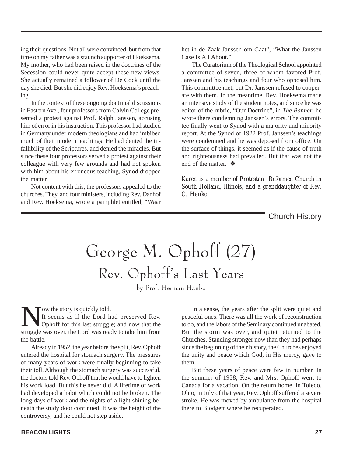ing their questions. Not all were convinced, but from that time on my father was a staunch supporter of Hoeksema. My mother, who had been raised in the doctrines of the Secession could never quite accept these new views. She actually remained a follower of De Cock until the day she died. But she did enjoy Rev. Hoeksema's preaching.

In the context of these ongoing doctrinal discussions in Eastern Ave., four professors from Calvin College presented a protest against Prof. Ralph Janssen, accusing him of error in his instruction. This professor had studied in Germany under modern theologians and had imbibed much of their modern teachings. He had denied the infallibility of the Scriptures, and denied the miracles. But since these four professors served a protest against their colleague with very few grounds and had not spoken with him about his erroneous teaching, Synod dropped the matter.

Not content with this, the professors appealed to the churches. They, and four ministers, including Rev. Danhof and Rev. Hoeksema, wrote a pamphlet entitled, "Waar

het in de Zaak Janssen om Gaat", "What the Janssen Case Is All About."

The Curatorium of the Theological School appointed a committee of seven, three of whom favored Prof. Janssen and his teachings and four who opposed him. This committee met, but Dr. Janssen refused to cooperate with them. In the meantime, Rev. Hoeksema made an intensive study of the student notes, and since he was editor of the rubric, "Our Doctrine", in *The Banner*, he wrote there condemning Janssen's errors. The committee finally went to Synod with a majority and minority report. At the Synod of 1922 Prof. Janssen's teachings were condemned and he was deposed from office. On the surface of things, it seemed as if the cause of truth and righteousness had prevailed. But that was not the end of the matter. ❖

*Karen is a member of Protestant Reformed Church in South Holland, Illinois, and a granddaughter of Rev. C. Hanko.*

*\_\_\_\_\_\_\_\_\_\_\_\_\_\_\_\_\_\_\_\_\_\_\_\_\_\_\_\_\_\_\_\_\_\_\_\_\_\_\_\_\_\_\_\_\_\_\_\_\_\_*

Church History

## George M. Ophoff (27) Rev. Ophoff's Last Years

by Prof. Herman Hanko

Now the story is quickly told.<br>It seems as if the Lord h<br>Ophoff for this last struggl It seems as if the Lord had preserved Rev. Ophoff for this last struggle; and now that the struggle was over, the Lord was ready to take him from the battle.

Already in 1952, the year before the split, Rev. Ophoff entered the hospital for stomach surgery. The pressures of many years of work were finally beginning to take their toll. Although the stomach surgery was successful, the doctors told Rev. Ophoff that he would have to lighten his work load. But this he never did. A lifetime of work had developed a habit which could not be broken. The long days of work and the nights of a light shining beneath the study door continued. It was the height of the controversy, and he could not step aside.

In a sense, the years after the split were quiet and peaceful ones. There was all the work of reconstruction to do, and the labors of the Seminary continued unabated. But the storm was over, and quiet returned to the Churches. Standing stronger now than they had perhaps since the beginning of their history, the Churches enjoyed the unity and peace which God, in His mercy, gave to them.

But these years of peace were few in number. In the summer of 1958, Rev. and Mrs. Ophoff went to Canada for a vacation. On the return home, in Toledo, Ohio, in July of that year, Rev. Ophoff suffered a severe stroke. He was moved by ambulance from the hospital there to Blodgett where he recuperated.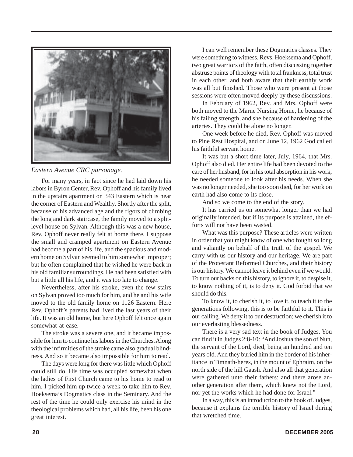

*Eastern Avenue CRC parsonage.*

For many years, in fact since he had laid down his labors in Byron Center, Rev. Ophoff and his family lived in the upstairs apartment on 343 Eastern which is near the corner of Eastern and Wealthy. Shortly after the split, because of his advanced age and the rigors of climbing the long and dark staircase, the family moved to a splitlevel house on Sylvan. Although this was a new house, Rev. Ophoff never really felt at home there. I suppose the small and cramped apartment on Eastern Avenue had become a part of his life, and the spacious and modern home on Sylvan seemed to him somewhat improper; but he often complained that he wished he were back in his old familiar surroundings. He had been satisfied with but a little all his life, and it was too late to change.

Nevertheless, after his stroke, even the few stairs on Sylvan proved too much for him, and he and his wife moved to the old family home on 1126 Eastern. Here Rev. Ophoff's parents had lived the last years of their life. It was an old home, but here Ophoff felt once again somewhat at ease.

The stroke was a severe one, and it became impossible for him to continue his labors in the Churches. Along with the infirmities of the stroke came also gradual blindness. And so it became also impossible for him to read.

The days were long for there was little which Ophoff could still do. His time was occupied somewhat when the ladies of First Church came to his home to read to him. I picked him up twice a week to take him to Rev. Hoeksema's Dogmatics class in the Seminary. And the rest of the time he could only exercise his mind in the theological problems which had, all his life, been his one great interest.

I can well remember these Dogmatics classes. They were something to witness. Revs. Hoeksema and Ophoff, two great warriors of the faith, often discussing together abstruse points of theology with total frankness, total trust in each other, and both aware that their earthly work was all but finished. Those who were present at those sessions were often moved deeply by these discussions.

In February of 1962, Rev. and Mrs. Ophoff were both moved to the Marne Nursing Home, he because of his failing strength, and she because of hardening of the arteries. They could be alone no longer.

One week before he died, Rev. Ophoff was moved to Pine Rest Hospital, and on June 12, 1962 God called his faithful servant home.

It was but a short time later, July, 1964, that Mrs. Ophoff also died. Her entire life had been devoted to the care of her husband, for in his total absorption in his work, he needed someone to look after his needs. When she was no longer needed, she too soon died, for her work on earth had also come to its close.

And so we come to the end of the story.

It has carried us on somewhat longer than we had originally intended, but if its purpose is attained, the efforts will not have been wasted.

What was this purpose? These articles were written in order that you might know of one who fought so long and valiantly on behalf of the truth of the gospel. We carry with us our history and our heritage. We are part of the Protestant Reformed Churches, and their history is our history. We cannot leave it behind even if we would. To turn our backs on this history, to ignore it, to despise it, to know nothing of it, is to deny it. God forbid that we should do this.

To know it, to cherish it, to love it, to teach it to the generations following, this is to be faithful to it. This is our calling. We deny it to our destruction; we cherish it to our everlasting blessedness.

There is a very sad text in the book of Judges. You can find it in Judges 2:8-10: "And Joshua the son of Nun, the servant of the Lord, died, being an hundred and ten years old. And they buried him in the border of his inheritance in Timnath-heres, in the mount of Ephraim, on the north side of the hill Gaash. And also all that generation were gathered unto their fathers: and there arose another generation after them, which knew not the Lord, nor yet the works which he had done for Israel."

In a way, this is an introduction to the book of Judges, because it explains the terrible history of Israel during that wretched time.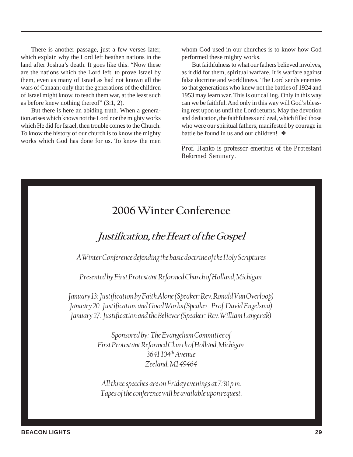There is another passage, just a few verses later, which explain why the Lord left heathen nations in the land after Joshua's death. It goes like this. "Now these are the nations which the Lord left, to prove Israel by them, even as many of Israel as had not known all the wars of Canaan; only that the generations of the children of Israel might know, to teach them war, at the least such as before knew nothing thereof" (3:1, 2).

But there is here an abiding truth. When a generation arises which knows not the Lord nor the mighty works which He did for Israel, then trouble comes to the Church. To know the history of our church is to know the mighty works which God has done for us. To know the men whom God used in our churches is to know how God performed these mighty works.

But faithfulness to what our fathers believed involves, as it did for them, spiritual warfare. It is warfare against false doctrine and worldliness. The Lord sends enemies so that generations who knew not the battles of 1924 and 1953 may learn war. This is our calling. Only in this way can we be faithful. And only in this way will God's blessing rest upon us until the Lord returns. May the devotion and dedication, the faithfulness and zeal, which filled those who were our spiritual fathers, manifested by courage in battle be found in us and our children! ❖

*\_\_\_\_\_\_\_\_\_\_\_\_\_\_\_\_\_\_\_\_\_\_\_\_\_\_\_\_\_\_\_\_\_\_\_\_\_\_\_\_\_\_\_\_\_\_\_\_\_\_ Prof. Hanko is professor emeritus of the Protestant Reformed Seminary.*

### 2006 Winter Conference

### Justification, the Heart of the Gospel

A Winter Conference defending the basic doctrine of the Holy Scriptures

Presented by First Protestant Reformed Church of Holland, Michigan.

January 13: Justification by Faith Alone (Speaker: Rev. Ronald Van Overloop) January 20: Justification and Good Works (Speaker: Prof. David Engelsma) January 27: Justification and the Believer (Speaker: Rev. William Langerak)

> Sponsored by: The Evangelism Committee of First Protestant Reformed Church of Holland, Michigan. 3641 104th Avenue Zeeland, MI 49464

All three speeches are on Friday evenings at 7:30 p.m. Tapes of the conference will be available upon request.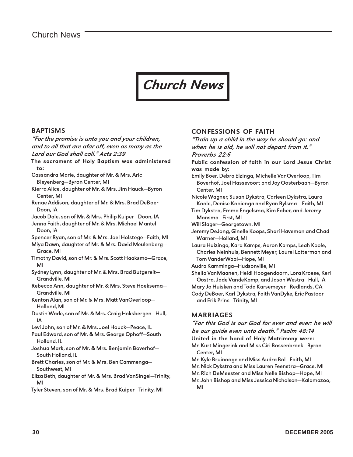### Church News

#### BAPTISMS

"For the promise is unto you and your children, and to all that are afar off, even as many as the Lord our God shall call." Acts 2:39 The sacrament of Holy Baptism was administered to: Cassandra Marie, daughter of Mr. & Mrs. Aric

- Bleyenberg—Byron Center, MI
- Kierra Alice, daughter of Mr. & Mrs. Jim Hauck—Byron Center, MI
- Renae Addison, daughter of Mr. & Mrs. Brad DeBoer— Doon, IA
- Jacob Dale, son of Mr. & Mrs. Philip Kuiper—Doon, IA
- Jenna Faith, daughter of Mr. & Mrs. Michael Mantel— Doon, IA
- Spencer Ryan, son of Mr. & Mrs. Joel Holstege—Faith, MI
- Miya Dawn, daughter of Mr. & Mrs. David Meulenberg— Grace, MI
- Timothy David, son of Mr. & Mrs. Scott Haaksma—Grace, MI
- Sydney Lynn, daughter of Mr. & Mrs. Brad Butgereit— Grandville, MI
- Rebecca Ann, daughter of Mr. & Mrs. Steve Hoeksema— Grandville, MI
- Kenton Alan, son of Mr. & Mrs. Matt VanOverloop— Holland, MI
- Dustin Wade, son of Mr. & Mrs. Craig Hoksbergen—Hull, IA
- Levi John, son of Mr. & Mrs. Joel Houck—Peace, IL
- Paul Edward, son of Mr. & Mrs. George Ophoff—South Holland, IL
- Joshua Mark, son of Mr. & Mrs. Benjamin Boverhof— South Holland, IL
- Brett Charles, son of Mr. & Mrs. Ben Cammenga— Southwest, MI
- Eliza Beth, daughter of Mr. & Mrs. Brad VanSingel—Trinity, MI
- Tyler Steven, son of Mr. & Mrs. Brad Kuiper—Trinity, MI

#### CONFESSIONS OF FAITH

"Train up a child in the way he should go: and when he is old, he will not depart from it." Proverbs 22:6

- Public confession of faith in our Lord Jesus Christ was made by:
- Emily Boer, Debra Elzinga, Michelle VanOverloop, Tim Boverhof, Joel Hassevoort and Joy Oosterbaan—Byron Center, MI
- Nicole Wagner, Susan Dykstra, Carleen Dykstra, Laura Koole, Denise Kooienga and Ryan Bylsma —Faith, MI
- Tim Dykstra, Emma Engelsma, Kim Faber, and Jeremy Monsma—First, MI
- Will Slager—Georgetown, MI
- Jeremy DeJong, Ginelle Koops, Shari Haveman and Chad Warner—Holland, MI
- Laura Huizinga, Kara Kamps, Aaron Kamps, Leah Koole, Charles Neinhuis, Bennett Meyer, Laurel Lotterman and Tom VanderWaal—Hope, MI
- Audra Kamminga—Hudsonville, MI
- Shelia VanMaanen, Heidi Hoogendoorn, Lora Kroese, Keri Oostra, Jade VandeKamp, and Jason Westra—Hull, IA
- Mary Jo Huisken and Todd Karsemeyer—Redlands, CA
- Cody DeBoer, Karl Dykstra, Faith VanDyke, Eric Pastoor and Erik Prins—Trinity, MI

#### MARRIAGES

- "For this God is our God for ever and ever: he will be our guide even unto death." Psalm 48:14
- United in the bond of Holy Matrimony were:
- Mr. Kurt Mingerink and Miss Ciri Bossenbroek—Byron Center, MI
- Mr. Kyle Bruinooge and Miss Audra Bol—Faith, MI
- Mr. Nick Dykstra and Miss Lauren Feenstra—Grace, MI
- Mr. Rich DeMeester and Miss Nelle Bishop—Hope, MI
- Mr. John Bishop and Miss Jessica Nicholson—Kalamazoo, MI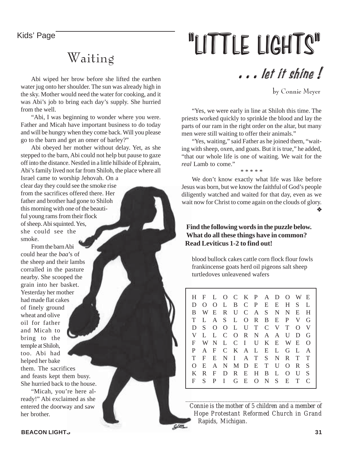Kids' Page

### Waiting

Abi wiped her brow before she lifted the earthen water jug onto her shoulder. The sun was already high in the sky. Mother would need the water for cooking, and it was Abi's job to bring each day's supply. She hurried from the well.

"Abi, I was beginning to wonder where you were. Father and Micah have important business to do today and will be hungry when they come back. Will you please go to the barn and get an omer of barley?"

Abi obeyed her mother without delay. Yet, as she stepped to the barn, Abi could not help but pause to gaze off into the distance. Nestled in a little hillside of Ephraim, Abi's family lived not far from Shiloh, the place where all

Israel came to worship Jehovah. On a clear day they could see the smoke rise from the sacrifices offered there. Her father and brother had gone to Shiloh this morning with one of the beautiful young rams from their flock of sheep. Abi squinted. Yes, she could see the smoke.

From the barn Abi could hear the *baa*'s of the sheep and their lambs corralled in the pasture nearby. She scooped the grain into her basket. Yesterday her mother had made flat cakes of finely ground wheat and olive oil for father and Micah to bring to the temple at Shiloh, too. Abi had helped her bake them. The sacrifices

and feasts kept them busy. She hurried back to the house.

"Micah, you're here already!" Abi exclaimed as she entered the doorway and saw her brother.

# "LITTLE LIGHTS"

### . . . let it shine !

by Connie Meyer

"Yes, we were early in line at Shiloh this time. The priests worked quickly to sprinkle the blood and lay the parts of our ram in the right order on the altar, but many men were still waiting to offer their animals."

"Yes, waiting," said Father as he joined them, "waiting with sheep, oxen, and goats. But it is true," he added, "that our whole life is one of waiting. We wait for the *real* Lamb to come."

\* \* \* \* \*

We don't know exactly what life was like before Jesus was born, but we know the faithful of God's people diligently watched and waited for that day, even as we wait now for Christ to come again on the clouds of glory. ❖

#### **Find the following words in the puzzle below. What do all these things have in common? Read Leviticus 1-2 to find out!**

blood bullock cakes cattle corn flock flour fowls frankincense goats herd oil pigeons salt sheep turtledoves unleavened wafers

H F L O C K P A D O WE DOOLBCP EEHS L B WE R U C A S N N E H TLAS LORBEP VG DS OOLUTCVTOV VLLCORNAAUDG F WN L C I U K E WE O P AF CKALELGLA TF ENI ATS NRTT O E A N MD E T U O R S KRF DREHBLOUS F S P I GEONS ETC

*Connie is the mother of 5 children and a member of Hope Protestant Reformed Church in Grand Rapids, Michigan.*

*\_\_\_\_\_\_\_\_\_\_\_\_\_\_\_\_\_\_\_\_\_\_\_\_\_\_\_\_\_\_\_\_\_\_\_\_\_\_\_\_\_\_\_\_\_\_\_\_*